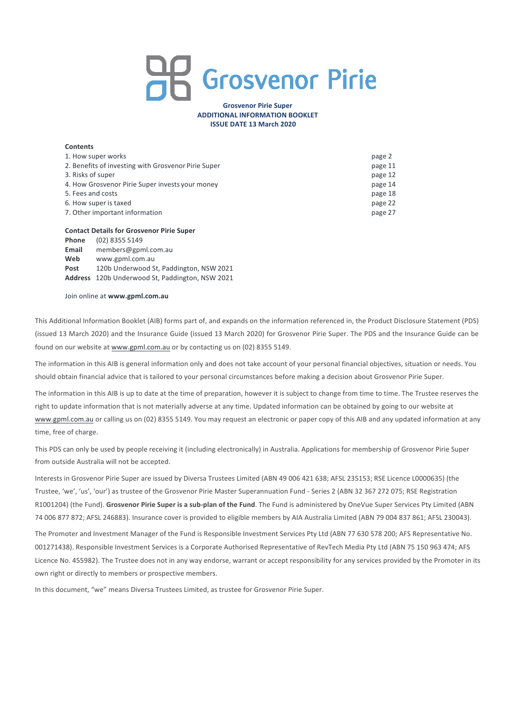# **AR** Grosvenor Pirie

## **Grosvenor Pirie Super ADDITIONAL INFORMATION BOOKLET ISSUE DATE 13 March 2020**

## **Contents**

| 1. How super works                                  | page 2  |
|-----------------------------------------------------|---------|
| 2. Benefits of investing with Grosvenor Pirie Super | page 11 |
| 3. Risks of super                                   | page 12 |
| 4. How Grosvenor Pirie Super invests your money     | page 14 |
| 5. Fees and costs                                   | page 18 |
| 6. How super is taxed                               | page 22 |
| 7. Other important information                      | page 27 |

#### **Contact Details for Grosvenor Pirie Super**

| Phone | (02) 8355 5149                                  |
|-------|-------------------------------------------------|
| Email | members@gpml.com.au                             |
| Web   | www.gpml.com.au                                 |
| Post  | 120b Underwood St, Paddington, NSW 2021         |
|       | Address 120b Underwood St, Paddington, NSW 2021 |

Join online at www.gpml.com.au

This Additional Information Booklet (AIB) forms part of, and expands on the information referenced in, the Product Disclosure Statement (PDS) (issued 13 March 2020) and the Insurance Guide (issued 13 March 2020) for Grosvenor Pirie Super. The PDS and the Insurance Guide can be found on our website at www.gpml.com.au or by contacting us on (02) 8355 5149.

The information in this AIB is general information only and does not take account of your personal financial objectives, situation or needs. You should obtain financial advice that is tailored to your personal circumstances before making a decision about Grosvenor Pirie Super.

The information in this AIB is up to date at the time of preparation, however it is subject to change from time to time. The Trustee reserves the right to update information that is not materially adverse at any time. Updated information can be obtained by going to our website at www.gpml.com.au or calling us on (02) 8355 5149. You may request an electronic or paper copy of this AIB and any updated information at any time, free of charge.

This PDS can only be used by people receiving it (including electronically) in Australia. Applications for membership of Grosvenor Pirie Super from outside Australia will not be accepted.

Interests in Grosvenor Pirie Super are issued by Diversa Trustees Limited (ABN 49 006 421 638; AFSL 235153; RSE Licence L0000635) (the Trustee, 'we', 'us', 'our') as trustee of the Grosvenor Pirie Master Superannuation Fund - Series 2 (ABN 32 367 272 075; RSE Registration R1001204) (the Fund). Grosvenor Pirie Super is a sub-plan of the Fund. The Fund is administered by OneVue Super Services Pty Limited (ABN 74 006 877 872; AFSL 246883). Insurance cover is provided to eligible members by AIA Australia Limited (ABN 79 004 837 861; AFSL 230043).

The Promoter and Investment Manager of the Fund is Responsible Investment Services Pty Ltd (ABN 77 630 578 200; AFS Representative No. 001271438). Responsible Investment Services is a Corporate Authorised Representative of RevTech Media Ptv Ltd (ABN 75 150 963 474; AFS Licence No. 455982). The Trustee does not in any way endorse, warrant or accept responsibility for any services provided by the Promoter in its own right or directly to members or prospective members.

In this document, "we" means Diversa Trustees Limited, as trustee for Grosvenor Pirie Super.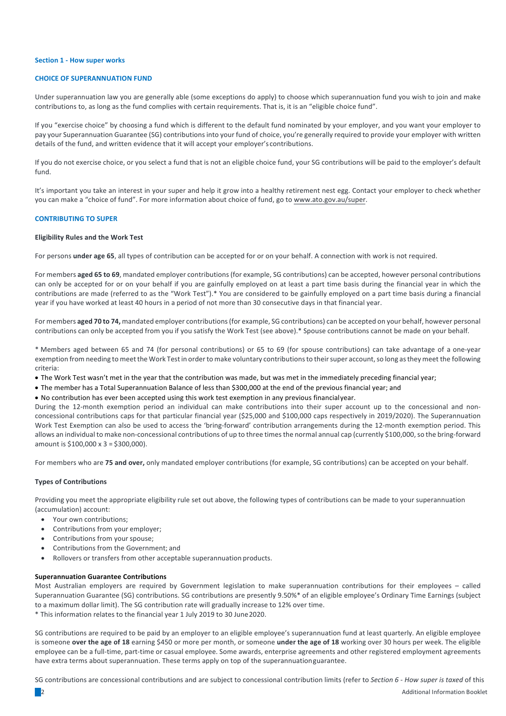## **Section 1 - How super works**

## **CHOICE OF SUPERANNUATION FUND**

Under superannuation law you are generally able (some exceptions do apply) to choose which superannuation fund you wish to join and make contributions to, as long as the fund complies with certain requirements. That is, it is an "eligible choice fund".

If you "exercise choice" by choosing a fund which is different to the default fund nominated by your employer, and you want your employer to pay your Superannuation Guarantee (SG) contributions into your fund of choice, you're generally required to provide your employer with written details of the fund, and written evidence that it will accept your employer's contributions.

If you do not exercise choice, or you select a fund that is not an eligible choice fund, your SG contributions will be paid to the employer's default fund.

It's important you take an interest in your super and help it grow into a healthy retirement nest egg. Contact your employer to check whether you can make a "choice of fund". For more information about choice of fund, go to www.ato.gov.au/super.

# **CONTRIBUTING TO SUPER**

#### **Eligibility Rules and the Work Test**

For persons under age 65, all types of contribution can be accepted for or on your behalf. A connection with work is not required.

For members **aged 65 to 69**, mandated employer contributions (for example, SG contributions) can be accepted, however personal contributions can only be accepted for or on your behalf if you are gainfully employed on at least a part time basis during the financial year in which the contributions are made (referred to as the "Work Test").\* You are considered to be gainfully employed on a part time basis during a financial year if you have worked at least 40 hours in a period of not more than 30 consecutive days in that financial year.

For members **aged 70 to 74,** mandated employer contributions(for example, SG contributions) can be accepted on your behalf, however personal contributions can only be accepted from you if you satisfy the Work Test (see above).\* Spouse contributions cannot be made on your behalf.

\* Members aged between 65 and 74 (for personal contributions) or 65 to 69 (for spouse contributions) can take advantage of a one-year exemption from needing to meet the Work Test in order to make voluntary contributions to their super account, so long as they meet the following criteria:

- The Work Test wasn't met in the year that the contribution was made, but was met in the immediately preceding financial year;
- The member has a Total Superannuation Balance of less than \$300,000 at the end of the previous financial year; and
- No contribution has ever been accepted using this work test exemption in any previous financialyear.

During the 12-month exemption period an individual can make contributions into their super account up to the concessional and nonconcessional contributions caps for that particular financial year (\$25,000 and \$100,000 caps respectively in 2019/2020). The Superannuation Work Test Exemption can also be used to access the 'bring-forward' contribution arrangements during the 12-month exemption period. This allows an individual to make non-concessional contributions of up to three times the normal annual cap (currently \$100,000, so the bring-forward amount is  $$100,000 \times 3 = $300,000$ .

For members who are 75 and over, only mandated employer contributions (for example, SG contributions) can be accepted on your behalf.

## **Types of Contributions**

Providing you meet the appropriate eligibility rule set out above, the following types of contributions can be made to your superannuation (accumulation) account:

- Your own contributions:
- Contributions from your employer;
- Contributions from your spouse;
- Contributions from the Government; and
- Rollovers or transfers from other acceptable superannuation products.

#### **Superannuation Guarantee Contributions**

Most Australian employers are required by Government legislation to make superannuation contributions for their employees - called Superannuation Guarantee (SG) contributions. SG contributions are presently 9.50%\* of an eligible employee's Ordinary Time Earnings (subject to a maximum dollar limit). The SG contribution rate will gradually increase to 12% over time.

\* This information relates to the financial year 1 July 2019 to 30 June 2020.

SG contributions are required to be paid by an employer to an eligible employee's superannuation fund at least quarterly. An eligible employee is someone **over the age of 18** earning \$450 or more per month, or someone **under the age of 18** working over 30 hours per week. The eligible employee can be a full-time, part-time or casual employee. Some awards, enterprise agreements and other registered employment agreements have extra terms about superannuation. These terms apply on top of the superannuationguarantee.

SG contributions are concessional contributions and are subject to concessional contribution limits (refer to Section 6 - How super is taxed of this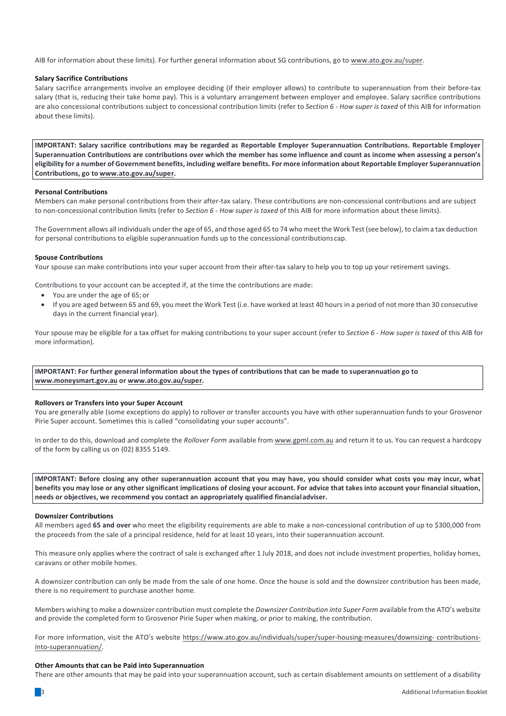AIB for information about these limits). For further general information about SG contributions, go to www.ato.gov.au/super.

## **Salary Sacrifice Contributions**

Salary sacrifice arrangements involve an employee deciding (if their employer allows) to contribute to superannuation from their before-tax salary (that is, reducing their take home pay). This is a voluntary arrangement between employer and employee. Salary sacrifice contributions are also concessional contributions subject to concessional contribution limits (refer to *Section 6 - How super is taxed* of this AIB for information about these limits).

**IMPORTANT:** Salary sacrifice contributions may be regarded as Reportable Employer Superannuation Contributions. Reportable Employer Superannuation Contributions are contributions over which the member has some influence and count as income when assessing a person's eligibility for a number of Government benefits, including welfare benefits. For more information about Reportable Employer Superannuation **Contributions, go to www.ato.gov.au/super.**

## **Personal Contributions**

Members can make personal contributions from their after-tax salary. These contributions are non-concessional contributions and are subject to non-concessional contribution limits (refer to *Section 6 - How super is taxed* of this AIB for more information about these limits).

The Government allows all individuals under the age of 65, and those aged 65 to 74 who meet the Work Test (see below), to claim a tax deduction for personal contributions to eligible superannuation funds up to the concessional contributions cap.

#### **Spouse Contributions**

Your spouse can make contributions into your super account from their after-tax salary to help you to top up your retirement savings.

Contributions to your account can be accepted if, at the time the contributions are made:

- You are under the age of 65; or
- If you are aged between 65 and 69, you meet the Work Test (i.e. have worked at least 40 hours in a period of not more than 30 consecutive days in the current financial year).

Your spouse may be eligible for a tax offset for making contributions to your super account (refer to Section 6 - How super is taxed of this AIB for more information).

**IMPORTANT:** For further general information about the types of contributions that can be made to superannuation go to **www.moneysmart.gov.au or www.ato.gov.au/super.**

## **Rollovers or Transfers into your Super Account**

You are generally able (some exceptions do apply) to rollover or transfer accounts you have with other superannuation funds to your Grosvenor Pirie Super account. Sometimes this is called "consolidating your super accounts".

In order to do this, download and complete the *Rollover Form* available from www.gpml.com.au and return it to us. You can request a hardcopy of the form by calling us on (02) 8355 5149.

**IMPORTANT:** Before closing any other superannuation account that you may have, you should consider what costs you may incur, what benefits you may lose or any other significant implications of closing your account. For advice that takes into account your financial situation, **needs or objectives, we recommend you contact an appropriately qualified financialadviser.**

# **Downsizer Contributions**

All members aged 65 and over who meet the eligibility requirements are able to make a non-concessional contribution of up to \$300,000 from the proceeds from the sale of a principal residence, held for at least 10 years, into their superannuation account.

This measure only applies where the contract of sale is exchanged after 1 July 2018, and does not include investment properties, holiday homes, caravans or other mobile homes.

A downsizer contribution can only be made from the sale of one home. Once the house is sold and the downsizer contribution has been made, there is no requirement to purchase another home.

Members wishing to make a downsizer contribution must complete the *Downsizer Contribution into Super Form* available from the ATO's website and provide the completed form to Grosvenor Pirie Super when making, or prior to making, the contribution.

For more information, visit the ATO's website https://www.ato.gov.au/individuals/super/super-housing-measures/downsizing- contributionsinto-superannuation/.

#### **Other Amounts that can be Paid into Superannuation**

There are other amounts that may be paid into your superannuation account, such as certain disablement amounts on settlement of a disability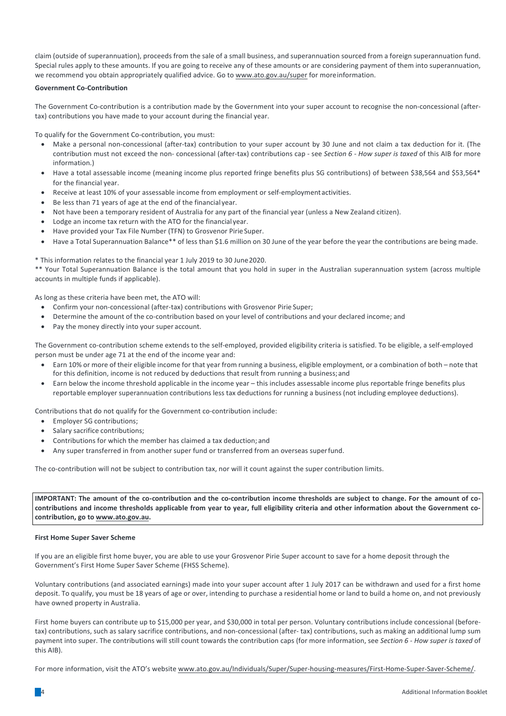claim (outside of superannuation), proceeds from the sale of a small business, and superannuation sourced from a foreign superannuation fund. Special rules apply to these amounts. If you are going to receive any of these amounts or are considering payment of them into superannuation, we recommend you obtain appropriately qualified advice. Go to www.ato.gov.au/super for moreinformation.

# **Government Co-Contribution**

The Government Co-contribution is a contribution made by the Government into your super account to recognise the non-concessional (aftertax) contributions you have made to your account during the financial year.

To qualify for the Government Co-contribution, you must:

- Make a personal non-concessional (after-tax) contribution to your super account by 30 June and not claim a tax deduction for it. (The contribution must not exceed the non- concessional (after-tax) contributions cap - see *Section 6 - How super is taxed* of this AIB for more information.)
- Have a total assessable income (meaning income plus reported fringe benefits plus SG contributions) of between \$38,564 and \$53,564\* for the financial year.
- Receive at least 10% of your assessable income from employment or self-employment activities.
- Be less than 71 years of age at the end of the financial year.
- Not have been a temporary resident of Australia for any part of the financial year (unless a New Zealand citizen).
- Lodge an income tax return with the ATO for the financial year.
- Have provided your Tax File Number (TFN) to Grosvenor Pirie Super.
- Have a Total Superannuation Balance\*\* of less than \$1.6 million on 30 June of the year before the year the contributions are being made.

## \* This information relates to the financial year 1 July 2019 to 30 June 2020.

\*\* Your Total Superannuation Balance is the total amount that you hold in super in the Australian superannuation system (across multiple accounts in multiple funds if applicable).

As long as these criteria have been met, the ATO will:

- Confirm your non-concessional (after-tax) contributions with Grosvenor Pirie Super;
- Determine the amount of the co-contribution based on your level of contributions and your declared income; and
- Pay the money directly into your super account.

The Government co-contribution scheme extends to the self-employed, provided eligibility criteria is satisfied. To be eligible, a self-employed person must be under age 71 at the end of the income year and:

- Earn 10% or more of their eligible income for that year from running a business, eligible employment, or a combination of both note that for this definition, income is not reduced by deductions that result from running a business; and
- Earn below the income threshold applicable in the income year this includes assessable income plus reportable fringe benefits plus reportable employer superannuation contributions less tax deductions for running a business (not including employee deductions).

Contributions that do not qualify for the Government co-contribution include:

- Employer SG contributions;
- Salary sacrifice contributions;
- Contributions for which the member has claimed a tax deduction; and
- Any super transferred in from another super fund or transferred from an overseas superfund.

The co-contribution will not be subject to contribution tax, nor will it count against the super contribution limits.

**IMPORTANT:** The amount of the co-contribution and the co-contribution income thresholds are subject to change. For the amount of cocontributions and income thresholds applicable from year to year, full eligibility criteria and other information about the Government cocontribution, go to www.ato.gov.au.

## **First Home Super Saver Scheme**

If you are an eligible first home buyer, you are able to use your Grosvenor Pirie Super account to save for a home deposit through the Government's First Home Super Saver Scheme (FHSS Scheme).

Voluntary contributions (and associated earnings) made into your super account after 1 July 2017 can be withdrawn and used for a first home deposit. To qualify, you must be 18 years of age or over, intending to purchase a residential home or land to build a home on, and not previously have owned property in Australia.

First home buyers can contribute up to \$15,000 per year, and \$30,000 in total per person. Voluntary contributions include concessional (beforetax) contributions, such as salary sacrifice contributions, and non-concessional (after- tax) contributions, such as making an additional lump sum payment into super. The contributions will still count towards the contribution caps (for more information, see *Section 6 - How super is taxed* of this AIB).

For more information, visit the ATO's website www.ato.gov.au/Individuals/Super/Super-housing-measures/First-Home-Super-Saver-Scheme/.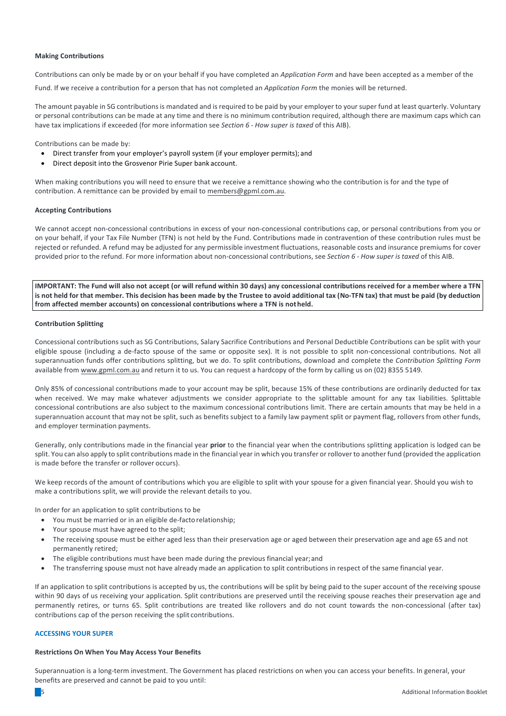## **Making Contributions**

Contributions can only be made by or on your behalf if you have completed an *Application Form* and have been accepted as a member of the

Fund. If we receive a contribution for a person that has not completed an *Application Form* the monies will be returned.

The amount payable in SG contributions is mandated and is required to be paid by your employer to your super fund at least quarterly. Voluntary or personal contributions can be made at any time and there is no minimum contribution required, although there are maximum caps which can have tax implications if exceeded (for more information see *Section 6 - How super is taxed* of this AIB).

Contributions can be made by:

- Direct transfer from your employer's payroll system (if your employer permits); and
- Direct deposit into the Grosvenor Pirie Super bank account.

When making contributions you will need to ensure that we receive a remittance showing who the contribution is for and the type of contribution. A remittance can be provided by email to members@gpml.com.au.

## **Accepting Contributions**

We cannot accept non-concessional contributions in excess of your non-concessional contributions cap, or personal contributions from you or on your behalf, if your Tax File Number (TFN) is not held by the Fund. Contributions made in contravention of these contribution rules must be rejected or refunded. A refund may be adjusted for any permissible investment fluctuations, reasonable costs and insurance premiums for cover provided prior to the refund. For more information about non-concessional contributions, see *Section 6 - How super is taxed* of this AIB.

IMPORTANT: The Fund will also not accept (or will refund within 30 days) any concessional contributions received for a member where a TFN is not held for that member. This decision has been made by the Trustee to avoid additional tax (No-TFN tax) that must be paid (by deduction from affected member accounts) on concessional contributions where a TFN is not held.

## **Contribution Splitting**

Concessional contributions such as SG Contributions, Salary Sacrifice Contributions and Personal Deductible Contributions can be split with your eligible spouse (including a de-facto spouse of the same or opposite sex). It is not possible to split non-concessional contributions. Not all superannuation funds offer contributions splitting, but we do. To split contributions, download and complete the *Contribution Splitting Form* available from www.gpml.com.au and return it to us. You can request a hardcopy of the form by calling us on (02) 8355 5149.

Only 85% of concessional contributions made to your account may be split, because 15% of these contributions are ordinarily deducted for tax when received. We may make whatever adjustments we consider appropriate to the splittable amount for any tax liabilities. Splittable concessional contributions are also subject to the maximum concessional contributions limit. There are certain amounts that may be held in a superannuation account that may not be split, such as benefits subject to a family law payment split or payment flag, rollovers from other funds, and employer termination payments.

Generally, only contributions made in the financial year prior to the financial year when the contributions splitting application is lodged can be split. You can also apply to split contributions made in the financial year in which you transfer or rollover to another fund (provided the application is made before the transfer or rollover occurs).

We keep records of the amount of contributions which you are eligible to split with your spouse for a given financial year. Should you wish to make a contributions split, we will provide the relevant details to you.

In order for an application to split contributions to be

- You must be married or in an eligible de-facto relationship;
- Your spouse must have agreed to the split;
- The receiving spouse must be either aged less than their preservation age or aged between their preservation age and age 65 and not permanently retired;
- The eligible contributions must have been made during the previous financial year; and
- The transferring spouse must not have already made an application to split contributions in respect of the same financial year.

If an application to split contributions is accepted by us, the contributions will be split by being paid to the super account of the receiving spouse within 90 days of us receiving your application. Split contributions are preserved until the receiving spouse reaches their preservation age and permanently retires, or turns 65. Split contributions are treated like rollovers and do not count towards the non-concessional (after tax) contributions cap of the person receiving the split contributions.

## **ACCESSING YOUR SUPER**

## **Restrictions On When You May Access Your Benefits**

Superannuation is a long-term investment. The Government has placed restrictions on when you can access your benefits. In general, your benefits are preserved and cannot be paid to you until: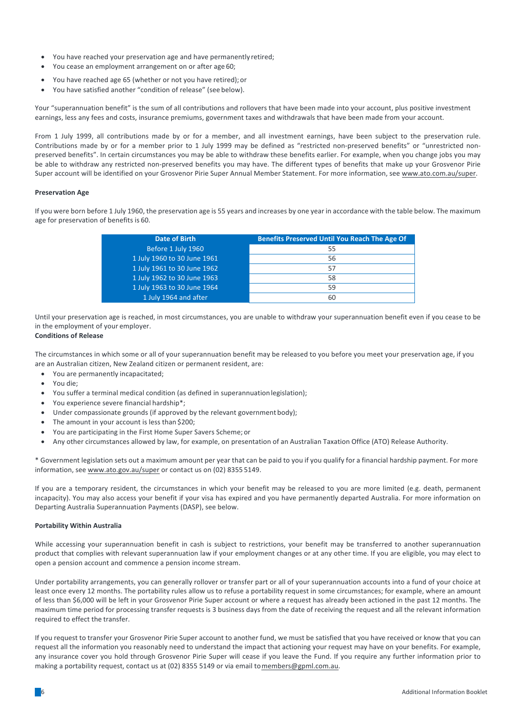- You have reached your preservation age and have permanently retired;
- You cease an employment arrangement on or after age 60;
- You have reached age 65 (whether or not you have retired); or
- You have satisfied another "condition of release" (see below).

Your "superannuation benefit" is the sum of all contributions and rollovers that have been made into your account, plus positive investment earnings, less any fees and costs, insurance premiums, government taxes and withdrawals that have been made from your account.

From 1 July 1999, all contributions made by or for a member, and all investment earnings, have been subject to the preservation rule. Contributions made by or for a member prior to 1 July 1999 may be defined as "restricted non-preserved benefits" or "unrestricted nonpreserved benefits". In certain circumstances you may be able to withdraw these benefits earlier. For example, when you change jobs you may be able to withdraw any restricted non-preserved benefits you may have. The different types of benefits that make up your Grosvenor Pirie Super account will be identified on your Grosvenor Pirie Super Annual Member Statement. For more information, see www.ato.com.au/super.

## **Preservation Age**

If you were born before 1 July 1960, the preservation age is 55 years and increases by one year in accordance with the table below. The maximum age for preservation of benefits is 60.

| <b>Benefits Preserved Until You Reach The Age Of</b> |
|------------------------------------------------------|
| 55                                                   |
| 56                                                   |
| 57                                                   |
| 58                                                   |
| 59                                                   |
| 60                                                   |
|                                                      |

Until your preservation age is reached, in most circumstances, you are unable to withdraw your superannuation benefit even if you cease to be in the employment of your employer.

# **Conditions of Release**

The circumstances in which some or all of your superannuation benefit may be released to you before you meet your preservation age, if you are an Australian citizen, New Zealand citizen or permanent resident, are:

- You are permanently incapacitated;
- You die;
- You suffer a terminal medical condition (as defined in superannuation legislation);
- You experience severe financial hardship\*;
- Under compassionate grounds (if approved by the relevant government body);
- The amount in your account is less than \$200;
- You are participating in the First Home Super Savers Scheme; or
- Any other circumstances allowed by law, for example, on presentation of an Australian Taxation Office (ATO) Release Authority.

\* Government legislation sets out a maximum amount per year that can be paid to you if you qualify for a financial hardship payment. For more information, see www.ato.gov.au/super or contact us on (02) 8355 5149.

If you are a temporary resident, the circumstances in which your benefit may be released to you are more limited (e.g. death, permanent incapacity). You may also access your benefit if your visa has expired and you have permanently departed Australia. For more information on Departing Australia Superannuation Payments (DASP), see below.

# **Portability Within Australia**

While accessing your superannuation benefit in cash is subject to restrictions, your benefit may be transferred to another superannuation product that complies with relevant superannuation law if your employment changes or at any other time. If you are eligible, you may elect to open a pension account and commence a pension income stream.

Under portability arrangements, you can generally rollover or transfer part or all of your superannuation accounts into a fund of your choice at least once every 12 months. The portability rules allow us to refuse a portability request in some circumstances; for example, where an amount of less than \$6,000 will be left in your Grosvenor Pirie Super account or where a request has already been actioned in the past 12 months. The maximum time period for processing transfer requests is 3 business days from the date of receiving the request and all the relevant information required to effect the transfer.

If you request to transfer your Grosvenor Pirie Super account to another fund, we must be satisfied that you have received or know that you can request all the information you reasonably need to understand the impact that actioning your request may have on your benefits. For example, any insurance cover you hold through Grosvenor Pirie Super will cease if you leave the Fund. If you require any further information prior to making a portability request, contact us at (02) 8355 5149 or via email tomembers@gpml.com.au.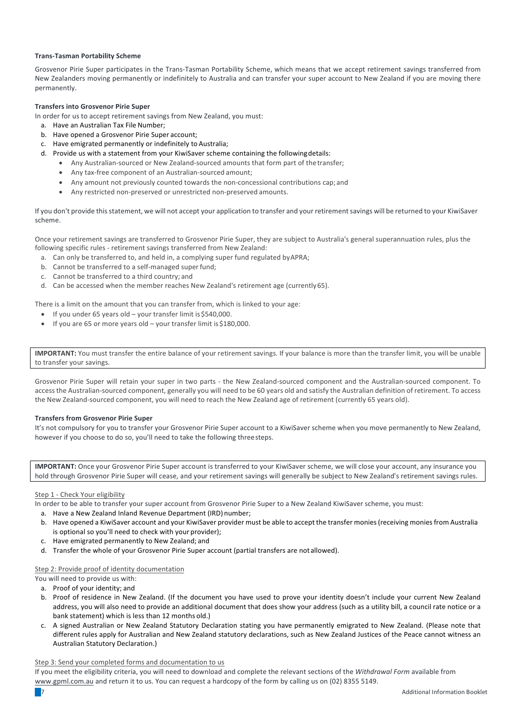# **Trans-Tasman Portability Scheme**

Grosvenor Pirie Super participates in the Trans-Tasman Portability Scheme, which means that we accept retirement savings transferred from New Zealanders moving permanently or indefinitely to Australia and can transfer your super account to New Zealand if you are moving there permanently.

# **Transfers into Grosvenor Pirie Super**

- In order for us to accept retirement savings from New Zealand, you must:
	- a. Have an Australian Tax File Number;
	- b. Have opened a Grosvenor Pirie Super account;
	- c. Have emigrated permanently or indefinitely to Australia;
	- d. Provide us with a statement from your KiwiSaver scheme containing the following details:
		- Any Australian-sourced or New Zealand-sourced amounts that form part of the transfer;
		- Any tax-free component of an Australian-sourced amount;
		- Any amount not previously counted towards the non-concessional contributions cap; and
		- Any restricted non-preserved or unrestricted non-preserved amounts.

If you don't provide thisstatement, we will not accept your application to transfer and your retirementsavings will be returned to your KiwiSaver scheme.

Once your retirement savings are transferred to Grosvenor Pirie Super, they are subject to Australia's general superannuation rules, plus the following specific rules - retirement savings transferred from New Zealand:

- a. Can only be transferred to, and held in, a complying super fund regulated by APRA;
- b. Cannot be transferred to a self-managed super fund:
- c. Cannot be transferred to a third country; and
- d. Can be accessed when the member reaches New Zealand's retirement age (currently 65).

There is a limit on the amount that you can transfer from, which is linked to your age:

- If you under  $65$  years old  $-$  your transfer limit is \$540,000.
- If you are 65 or more years old  $-$  your transfer limit is \$180,000.

**IMPORTANT:** You must transfer the entire balance of your retirement savings. If your balance is more than the transfer limit, you will be unable to transfer your savings.

Grosvenor Pirie Super will retain your super in two parts - the New Zealand-sourced component and the Australian-sourced component. To accessthe Australian-sourced component, generally you will need to be 60 years old and satisfy the Australian definition of retirement. To access the New Zealand-sourced component, you will need to reach the New Zealand age of retirement (currently 65 years old).

# **Transfers from Grosvenor Pirie Super**

It's not compulsory for you to transfer your Grosvenor Pirie Super account to a KiwiSaver scheme when you move permanently to New Zealand, however if you choose to do so, you'll need to take the following three steps.

**IMPORTANT:** Once your Grosvenor Pirie Super account is transferred to your KiwiSaver scheme, we will close your account, any insurance you hold through Grosvenor Pirie Super will cease, and your retirement savings will generally be subject to New Zealand's retirement savings rules.

## Step 1 - Check Your eligibility

- In order to be able to transfer your super account from Grosvenor Pirie Super to a New Zealand KiwiSaver scheme, you must:
	- a. Have a New Zealand Inland Revenue Department (IRD) number;
	- b. Have opened a KiwiSaver account and your KiwiSaver provider must be able to accept the transfer monies (receiving monies from Australia is optional so you'll need to check with your provider);
	- c. Have emigrated permanently to New Zealand; and
	- d. Transfer the whole of your Grosvenor Pirie Super account (partial transfers are not allowed).

# Step 2: Provide proof of identity documentation

- You will need to provide us with:
	- a. Proof of your identity: and
	- b. Proof of residence in New Zealand. (If the document you have used to prove your identity doesn't include your current New Zealand address, you will also need to provide an additional document that does show your address (such as a utility bill, a council rate notice or a bank statement) which is less than 12 months old.)
	- c. A signed Australian or New Zealand Statutory Declaration stating you have permanently emigrated to New Zealand. (Please note that different rules apply for Australian and New Zealand statutory declarations, such as New Zealand Justices of the Peace cannot witness an Australian Statutory Declaration.)

## Step 3: Send your completed forms and documentation to us

If you meet the eligibility criteria, you will need to download and complete the relevant sections of the Withdrawal Form available from www.gpml.com.au and return it to us. You can request a hardcopy of the form by calling us on (02) 8355 5149.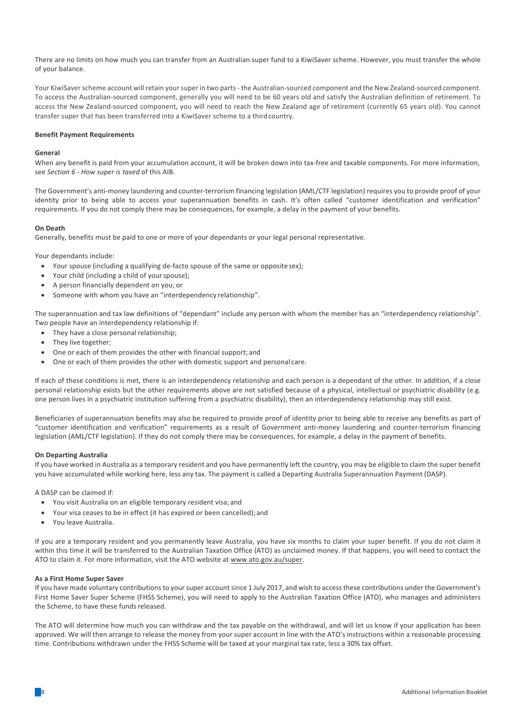There are no limits on how much you can transfer from an Australian super fund to a KiwiSaver scheme. However, you must transfer the whole of your balance.

Your KiwiSaverscheme account will retain yoursuper in two parts- the Australian-sourced component and the New Zealand-sourced component. To access the Australian-sourced component, generally you will need to be 60 years old and satisfy the Australian definition of retirement. To access the New Zealand-sourced component, you will need to reach the New Zealand age of retirement (currently 65 years old). You cannot transfer super that has been transferred into a KiwiSaver scheme to a thirdcountry.

## **Benefit Payment Requirements**

## **General**

When any benefit is paid from your accumulation account, it will be broken down into tax-free and taxable components. For more information, see *Section 6 - How super is taxed* of this AIB.

The Government's anti-money laundering and counter-terrorism financing legislation (AML/CTF legislation) requires you to provide proof of your identity prior to being able to access your superannuation benefits in cash. It's often called "customer identification and verification" requirements. If you do not comply there may be consequences, for example, a delay in the payment of your benefits.

## **On Death**

Generally, benefits must be paid to one or more of your dependants or your legal personal representative.

Your dependants include:

- Your spouse (including a qualifying de-facto spouse of the same or opposite sex);
- Your child (including a child of your spouse);
- A person financially dependent on you; or
- Someone with whom you have an "interdependency relationship".

The superannuation and tax law definitions of "dependant" include any person with whom the member has an "interdependency relationship". Two people have an interdependency relationship if:

- They have a close personal relationship;
- They live together;
- One or each of them provides the other with financial support; and
- One or each of them provides the other with domestic support and personal care.

If each of these conditions is met, there is an interdependency relationship and each person is a dependant of the other. In addition, if a close personal relationship exists but the other requirements above are not satisfied because of a physical, intellectual or psychiatric disability (e.g. one person lives in a psychiatric institution suffering from a psychiatric disability), then an interdependency relationship may still exist.

Beneficiaries of superannuation benefits may also be required to provide proof of identity prior to being able to receive any benefits as part of "customer identification and verification" requirements as a result of Government anti-money laundering and counter-terrorism financing legislation (AML/CTF legislation). If they do not comply there may be consequences, for example, a delay in the payment of benefits.

# **On Departing Australia**

If you have worked in Australia as a temporary resident and you have permanently left the country, you may be eligible to claim the super benefit you have accumulated while working here, less any tax. The payment is called a Departing Australia Superannuation Payment (DASP).

A DASP can be claimed if

- You visit Australia on an eligible temporary resident visa; and
- Your visa ceases to be in effect (it has expired or been cancelled); and
- You leave Australia.

If you are a temporary resident and you permanently leave Australia, you have six months to claim your super benefit. If you do not claim it within this time it will be transferred to the Australian Taxation Office (ATO) as unclaimed money. If that happens, you will need to contact the ATO to claim it. For more information, visit the ATO website at www.ato.gov.au/super.

## **As a First Home Super Saver**

If you have made voluntary contributions to your super account since 1 July 2017, and wish to access these contributions under the Government's First Home Saver Super Scheme (FHSS Scheme), you will need to apply to the Australian Taxation Office (ATO), who manages and administers the Scheme, to have these funds released.

The ATO will determine how much you can withdraw and the tax payable on the withdrawal, and will let us know if your application has been approved. We will then arrange to release the money from your super account in line with the ATO's instructions within a reasonable processing time. Contributions withdrawn under the FHSS Scheme will be taxed at your marginal tax rate, less a 30% tax offset.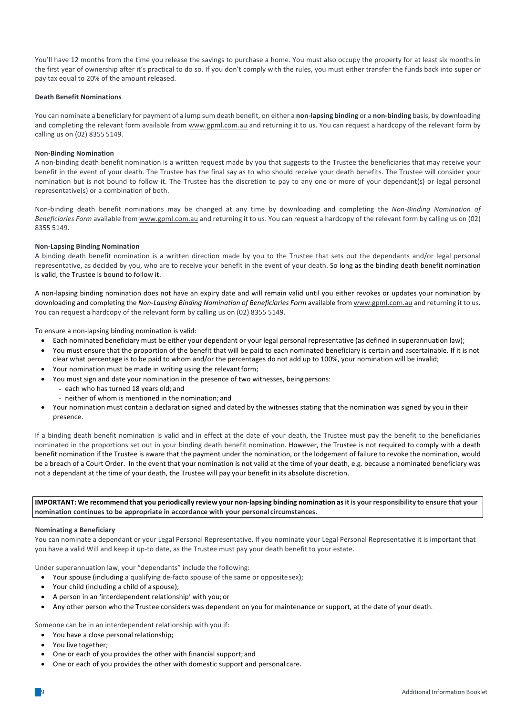You'll have 12 months from the time you release the savings to purchase a home. You must also occupy the property for at least six months in the first year of ownership after it's practical to do so. If you don't comply with the rules, you must either transfer the funds back into super or pay tax equal to 20% of the amount released.

# **Death Benefit Nominations**

You can nominate a beneficiary for payment of a lump sum death benefit, on either a **non-lapsing binding** or a **non-binding** basis, by downloading and completing the relevant form available from www.gpml.com.au and returning it to us. You can request a hardcopy of the relevant form by calling us on (02) 8355 5149.

## **Non-Binding Nomination**

A non-binding death benefit nomination is a written request made by you that suggests to the Trustee the beneficiaries that may receive your benefit in the event of your death. The Trustee has the final say as to who should receive your death benefits. The Trustee will consider your nomination but is not bound to follow it. The Trustee has the discretion to pay to any one or more of your dependant(s) or legal personal representative(s) or a combination of both.

Non-binding death benefit nominations may be changed at any time by downloading and completing the Non-Binding Nomination of *Beneficiaries Form* available from www.gpml.com.au and returning it to us. You can request a hardcopy of the relevant form by calling us on (02) 8355 5149.

## **Non-Lapsing Binding Nomination**

A binding death benefit nomination is a written direction made by you to the Trustee that sets out the dependants and/or legal personal representative, as decided by you, who are to receive your benefit in the event of your death. So long as the binding death benefit nomination is valid, the Trustee is bound to follow it.

A non-lapsing binding nomination does not have an expiry date and will remain valid until you either revokes or updates your nomination by downloading and completing the Non-Lapsing Binding Nomination of Beneficiaries Form available from www.gpml.com.au and returning it to us. You can request a hardcopy of the relevant form by calling us on (02) 8355 5149.

To ensure a non-lapsing binding nomination is valid:

- Each nominated beneficiary must be either your dependant or your legal personal representative (as defined in superannuation law);
- You must ensure that the proportion of the benefit that will be paid to each nominated beneficiary is certain and ascertainable. If it is not clear what percentage is to be paid to whom and/or the percentages do not add up to 100%, your nomination will be invalid;
- Your nomination must be made in writing using the relevant form;
- You must sign and date your nomination in the presence of two witnesses, beingpersons:
	- each who has turned 18 years old; and
	- neither of whom is mentioned in the nomination; and
- Your nomination must contain a declaration signed and dated by the witnesses stating that the nomination was signed by you in their presence.

If a binding death benefit nomination is valid and in effect at the date of your death, the Trustee must pay the benefit to the beneficiaries nominated in the proportions set out in your binding death benefit nomination. However, the Trustee is not required to comply with a death benefit nomination if the Trustee is aware that the payment under the nomination, or the lodgement of failure to revoke the nomination, would be a breach of a Court Order. In the event that your nomination is not valid at the time of your death, e.g. because a nominated beneficiary was not a dependant at the time of your death, the Trustee will pay your benefit in its absolute discretion.

IMPORTANT: We recommend that you periodically review your non-lapsing binding nomination as it is your responsibility to ensure that your **nomination continues to be appropriate in accordance with your personal circumstances.**

## **Nominating a Beneficiary**

You can nominate a dependant or your Legal Personal Representative. If you nominate your Legal Personal Representative it is important that you have a valid Will and keep it up-to date, as the Trustee must pay your death benefit to your estate.

Under superannuation law, your "dependants" include the following:

- Your spouse (including a qualifying de-facto spouse of the same or opposite sex);
- Your child (including a child of a spouse);
- A person in an 'interdependent relationship' with you; or
- Any other person who the Trustee considers was dependent on you for maintenance or support, at the date of your death.

Someone can be in an interdependent relationship with you if:

- You have a close personal relationship;
- You live together:
- One or each of you provides the other with financial support; and
- One or each of you provides the other with domestic support and personal care.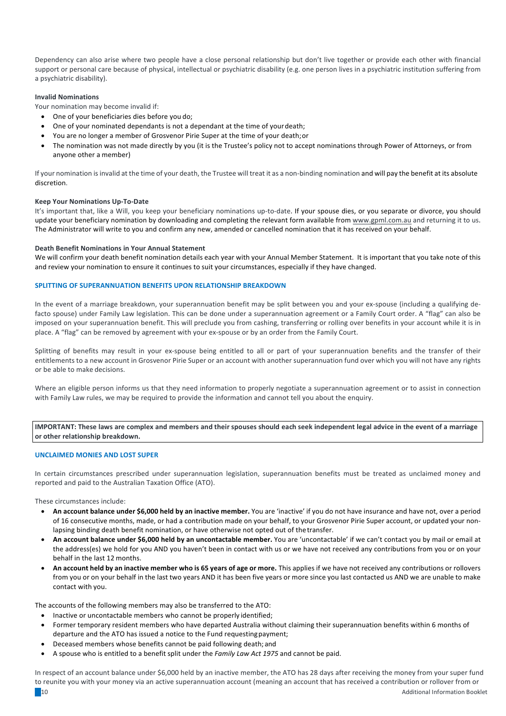Dependency can also arise where two people have a close personal relationship but don't live together or provide each other with financial support or personal care because of physical, intellectual or psychiatric disability (e.g. one person lives in a psychiatric institution suffering from a psychiatric disability).

# **Invalid Nominations**

Your nomination may become invalid if:

- One of your beneficiaries dies before you do;
- One of your nominated dependants is not a dependant at the time of your death;
- You are no longer a member of Grosvenor Pirie Super at the time of your death; or
- The nomination was not made directly by you (it is the Trustee's policy not to accept nominations through Power of Attorneys, or from anyone other a member)

If your nomination isinvalid at the time of your death, the Trustee will treat it as a non-binding nomination and will pay the benefit at its absolute discretion.

## **Keep Your Nominations Up-To-Date**

It's important that, like a Will, you keep your beneficiary nominations up-to-date. If your spouse dies, or you separate or divorce, you should update vour beneficiary nomination by downloading and completing the relevant form available from www.gpml.com.au and returning it to us. The Administrator will write to you and confirm any new, amended or cancelled nomination that it has received on your behalf.

#### **Death Benefit Nominations in Your Annual Statement**

We will confirm your death benefit nomination details each year with your Annual Member Statement. It is important that you take note of this and review your nomination to ensure it continues to suit your circumstances, especially if they have changed.

#### **SPLITTING OF SUPERANNUATION BENEFITS UPON RELATIONSHIP BREAKDOWN**

In the event of a marriage breakdown, your superannuation benefit may be split between you and your ex-spouse (including a qualifying defacto spouse) under Family Law legislation. This can be done under a superannuation agreement or a Family Court order. A "flag" can also be imposed on your superannuation benefit. This will preclude you from cashing, transferring or rolling over benefits in your account while it is in place. A "flag" can be removed by agreement with your ex-spouse or by an order from the Family Court.

Splitting of benefits may result in your ex-spouse being entitled to all or part of your superannuation benefits and the transfer of their entitlements to a new account in Grosvenor Pirie Super or an account with another superannuation fund over which you will not have any rights or be able to make decisions.

Where an eligible person informs us that they need information to properly negotiate a superannuation agreement or to assist in connection with Family Law rules, we may be required to provide the information and cannot tell you about the enquiry.

**IMPORTANT:** These laws are complex and members and their spouses should each seek independent legal advice in the event of a marriage or other relationship breakdown.

#### **UNCLAIMED MONIES AND LOST SUPER**

In certain circumstances prescribed under superannuation legislation, superannuation benefits must be treated as unclaimed money and reported and paid to the Australian Taxation Office (ATO).

These circumstances include:

- **An account balance under \$6,000 held by an inactive member.** You are 'inactive' if you do not have insurance and have not, over a period of 16 consecutive months, made, or had a contribution made on your behalf, to your Grosvenor Pirie Super account, or updated your nonlapsing binding death benefit nomination, or have otherwise not opted out of the transfer.
- An account balance under \$6,000 held by an uncontactable member. You are 'uncontactable' if we can't contact you by mail or email at the address(es) we hold for you AND you haven't been in contact with us or we have not received any contributions from you or on your behalf in the last 12 months.
- An account held by an inactive member who is 65 years of age or more. This applies if we have not received any contributions or rollovers from you or on your behalf in the last two years AND it has been five years or more since you last contacted us AND we are unable to make contact with you.

The accounts of the following members may also be transferred to the ATO:

- Inactive or uncontactable members who cannot be properly identified;
- Former temporary resident members who have departed Australia without claiming their superannuation benefits within 6 months of departure and the ATO has issued a notice to the Fund requesting payment;
- Deceased members whose benefits cannot be paid following death; and
- A spouse who is entitled to a benefit split under the *Family Law Act 1975* and cannot be paid.

the contraction of the contraction of the contraction of the contraction of the contraction  $\mathbf{A}$ dditional Information Booklet In respect of an account balance under \$6,000 held by an inactive member, the ATO has 28 days after receiving the money from your super fund to reunite you with your money via an active superannuation account (meaning an account that has received a contribution or rollover from or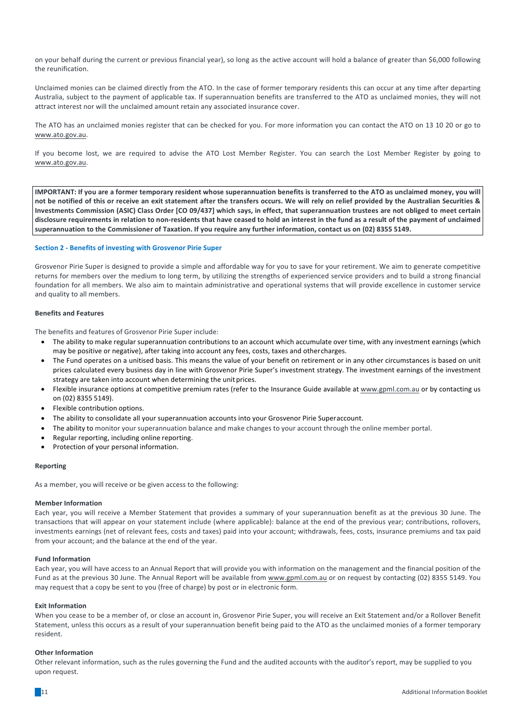on your behalf during the current or previous financial year), so long as the active account will hold a balance of greater than \$6,000 following the reunification.

Unclaimed monies can be claimed directly from the ATO. In the case of former temporary residents this can occur at any time after departing Australia, subject to the payment of applicable tax. If superannuation benefits are transferred to the ATO as unclaimed monies, they will not attract interest nor will the unclaimed amount retain any associated insurance cover.

The ATO has an unclaimed monies register that can be checked for you. For more information you can contact the ATO on 13 10 20 or go to www.ato.gov.au.

If you become lost, we are required to advise the ATO Lost Member Register. You can search the Lost Member Register by going to www.ato.gov.au.

**IMPORTANT:** If you are a former temporary resident whose superannuation benefits is transferred to the ATO as unclaimed money, you will not be notified of this or receive an exit statement after the transfers occurs. We will rely on relief provided by the Australian Securities & Investments Commission (ASIC) Class Order [CO 09/437] which says, in effect, that superannuation trustees are not obliged to meet certain disclosure requirements in relation to non-residents that have ceased to hold an interest in the fund as a result of the payment of unclaimed superannuation to the Commissioner of Taxation. If you require any further information, contact us on (02) 8355 5149.

# **Section 2 - Benefits of investing with Grosvenor Pirie Super**

Grosvenor Pirie Super is designed to provide a simple and affordable way for you to save for your retirement. We aim to generate competitive returns for members over the medium to long term, by utilizing the strengths of experienced service providers and to build a strong financial foundation for all members. We also aim to maintain administrative and operational systems that will provide excellence in customer service and quality to all members.

## **Benefits and Features**

The benefits and features of Grosvenor Pirie Super include:

- The ability to make regular superannuation contributions to an account which accumulate over time, with any investment earnings (which may be positive or negative), after taking into account any fees, costs, taxes and othercharges.
- The Fund operates on a unitised basis. This means the value of your benefit on retirement or in any other circumstances is based on unit prices calculated every business day in line with Grosvenor Pirie Super's investment strategy. The investment earnings of the investment strategy are taken into account when determining the unit prices.
- Flexible insurance options at competitive premium rates (refer to the Insurance Guide available at www.gpml.com.au or by contacting us on (02) 8355 5149).
- Flexible contribution options.
- The ability to consolidate all your superannuation accounts into your Grosvenor Pirie Superaccount.
- The ability to monitor your superannuation balance and make changes to your account through the online member portal.
- Regular reporting, including online reporting.
- Protection of your personal information.

## **Reporting**

As a member, you will receive or be given access to the following:

## **Member Information**

Each year, you will receive a Member Statement that provides a summary of your superannuation benefit as at the previous 30 June. The transactions that will appear on your statement include (where applicable): balance at the end of the previous year; contributions, rollovers, investments earnings (net of relevant fees, costs and taxes) paid into your account; withdrawals, fees, costs, insurance premiums and tax paid from your account; and the balance at the end of the year.

## **Fund Information**

Each year, you will have access to an Annual Report that will provide you with information on the management and the financial position of the Fund as at the previous 30 June. The Annual Report will be available from www.gpml.com.au or on request by contacting (02) 8355 5149. You may request that a copy be sent to you (free of charge) by post or in electronic form.

#### **Exit Information**

When you cease to be a member of, or close an account in, Grosvenor Pirie Super, you will receive an Exit Statement and/or a Rollover Benefit Statement, unless this occurs as a result of your superannuation benefit being paid to the ATO as the unclaimed monies of a former temporary resident.

#### **Other Information**

Other relevant information, such as the rules governing the Fund and the audited accounts with the auditor's report, may be supplied to you upon request.

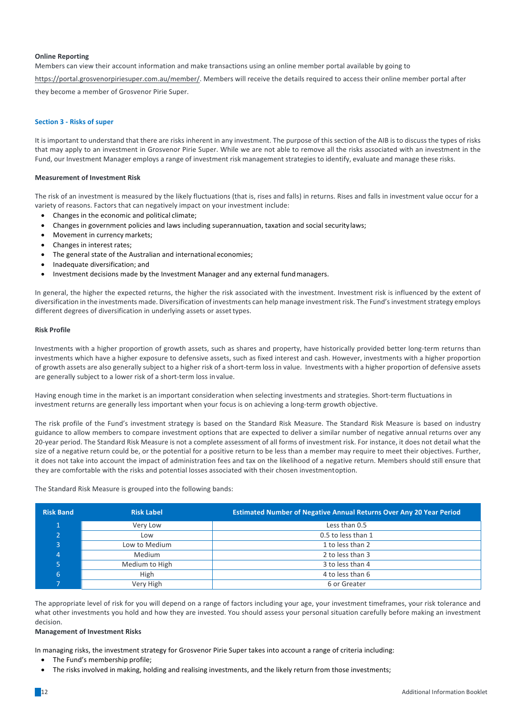## **Online Reporting**

Members can view their account information and make transactions using an online member portal available by going to

https://portal.grosvenorpiriesuper.com.au/member/. Members will receive the details required to access their online member portal after

they become a member of Grosvenor Pirie Super.

## **Section 3 - Risks of super**

It is important to understand that there are risks inherent in any investment. The purpose of this section of the AIB is to discuss the types of risks that may apply to an investment in Grosvenor Pirie Super. While we are not able to remove all the risks associated with an investment in the Fund, our Investment Manager employs a range of investment risk management strategies to identify, evaluate and manage these risks.

## **Measurement of Investment Risk**

The risk of an investment is measured by the likely fluctuations (that is, rises and falls) in returns. Rises and falls in investment value occur for a variety of reasons. Factors that can negatively impact on your investment include:

- Changes in the economic and political climate;
- Changes in government policies and laws including superannuation, taxation and social security laws;
- Movement in currency markets;
- Changes in interest rates;
- The general state of the Australian and international economies;
- Inadequate diversification; and
- Investment decisions made by the Investment Manager and any external fund managers.

In general, the higher the expected returns, the higher the risk associated with the investment. Investment risk is influenced by the extent of diversification in the investments made. Diversification of investments can help manage investment risk. The Fund's investment strategy employs different degrees of diversification in underlying assets or asset types.

## **Risk Profile**

Investments with a higher proportion of growth assets, such as shares and property, have historically provided better long-term returns than investments which have a higher exposure to defensive assets, such as fixed interest and cash. However, investments with a higher proportion of growth assets are also generally subject to a higher risk of a short-term loss in value. Investments with a higher proportion of defensive assets are generally subject to a lower risk of a short-term loss invalue.

Having enough time in the market is an important consideration when selecting investments and strategies. Short-term fluctuations in investment returns are generally less important when your focus is on achieving a long-term growth objective.

The risk profile of the Fund's investment strategy is based on the Standard Risk Measure. The Standard Risk Measure is based on industry guidance to allow members to compare investment options that are expected to deliver a similar number of negative annual returns over any 20-year period. The Standard Risk Measure is not a complete assessment of all forms of investment risk. For instance, it does not detail what the size of a negative return could be, or the potential for a positive return to be less than a member may require to meet their objectives. Further, it does not take into account the impact of administration fees and tax on the likelihood of a negative return. Members should still ensure that they are comfortable with the risks and potential losses associated with their chosen investmentoption.

The Standard Risk Measure is grouped into the following bands:

| <b>Risk Band</b> | <b>Risk Label</b> | <b>Estimated Number of Negative Annual Returns Over Any 20 Year Period</b> |
|------------------|-------------------|----------------------------------------------------------------------------|
|                  | Very Low          | Less than 0.5                                                              |
| $\overline{ }$   | Low               | 0.5 to less than 1                                                         |
| 3                | Low to Medium     | 1 to less than 2                                                           |
| 4                | Medium            | 2 to less than 3                                                           |
|                  | Medium to High    | 3 to less than 4                                                           |
| 6                | High              | 4 to less than 6                                                           |
|                  | Very High         | 6 or Greater                                                               |

The appropriate level of risk for you will depend on a range of factors including your age, your investment timeframes, your risk tolerance and what other investments you hold and how they are invested. You should assess your personal situation carefully before making an investment decision.

## **Management of Investment Risks**

In managing risks, the investment strategy for Grosvenor Pirie Super takes into account a range of criteria including:

- The Fund's membership profile;
- The risks involved in making, holding and realising investments, and the likely return from those investments;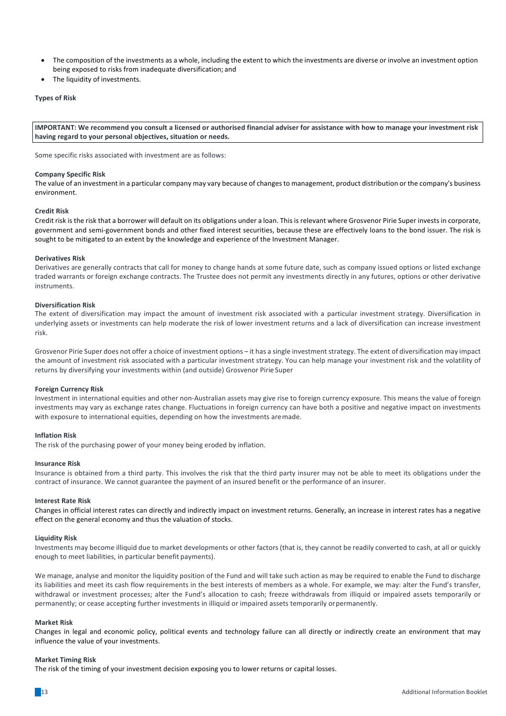- The composition of the investments as a whole, including the extent to which the investments are diverse or involve an investment option being exposed to risks from inadequate diversification; and
- The liquidity of investments.

## **Types of Risk**

**IMPORTANT:** We recommend you consult a licensed or authorised financial adviser for assistance with how to manage your investment risk having regard to your personal objectives, situation or needs.

Some specific risks associated with investment are as follows:

#### **Company Specific Risk**

The value of an investment in a particular company may vary because of changesto management, product distribution or the company's business environment.

#### **Credit Risk**

Credit risk is the risk that a borrower will default on its obligations under a loan. This is relevant where Grosvenor Pirie Super invests in corporate, government and semi-government bonds and other fixed interest securities, because these are effectively loans to the bond issuer. The risk is sought to be mitigated to an extent by the knowledge and experience of the Investment Manager.

## **Derivatives Risk**

Derivatives are generally contracts that call for money to change hands at some future date, such as company issued options or listed exchange traded warrants or foreign exchange contracts. The Trustee does not permit any investments directly in any futures, options or other derivative instruments.

## **Diversification Risk**

The extent of diversification may impact the amount of investment risk associated with a particular investment strategy. Diversification in underlying assets or investments can help moderate the risk of lower investment returns and a lack of diversification can increase investment risk.

Grosvenor Pirie Super does not offer a choice of investment options – it has a single investment strategy. The extent of diversification may impact the amount of investment risk associated with a particular investment strategy. You can help manage your investment risk and the volatility of returns by diversifying your investments within (and outside) Grosvenor Pirie Super

## **Foreign Currency Risk**

Investment in international equities and other non-Australian assets may give rise to foreign currency exposure. This means the value of foreign investments may vary as exchange rates change. Fluctuations in foreign currency can have both a positive and negative impact on investments with exposure to international equities, depending on how the investments aremade.

## **Inflation Risk**

The risk of the purchasing power of your money being eroded by inflation.

## **Insurance Risk**

Insurance is obtained from a third party. This involves the risk that the third party insurer may not be able to meet its obligations under the contract of insurance. We cannot guarantee the payment of an insured benefit or the performance of an insurer.

#### **Interest Rate Risk**

Changes in official interest rates can directly and indirectly impact on investment returns. Generally, an increase in interest rates has a negative effect on the general economy and thus the valuation of stocks.

#### **Liquidity Risk**

Investments may become illiquid due to market developments or other factors (that is, they cannot be readily converted to cash, at all or quickly enough to meet liabilities, in particular benefit payments).

We manage, analyse and monitor the liquidity position of the Fund and will take such action as may be required to enable the Fund to discharge its liabilities and meet its cash flow requirements in the best interests of members as a whole. For example, we may: alter the Fund's transfer, withdrawal or investment processes; alter the Fund's allocation to cash; freeze withdrawals from illiquid or impaired assets temporarily or permanently; or cease accepting further investments in illiquid or impaired assets temporarily or permanently.

#### **Market Risk**

Changes in legal and economic policy, political events and technology failure can all directly or indirectly create an environment that may influence the value of your investments.

#### **Market Timing Risk**

The risk of the timing of your investment decision exposing you to lower returns or capital losses.

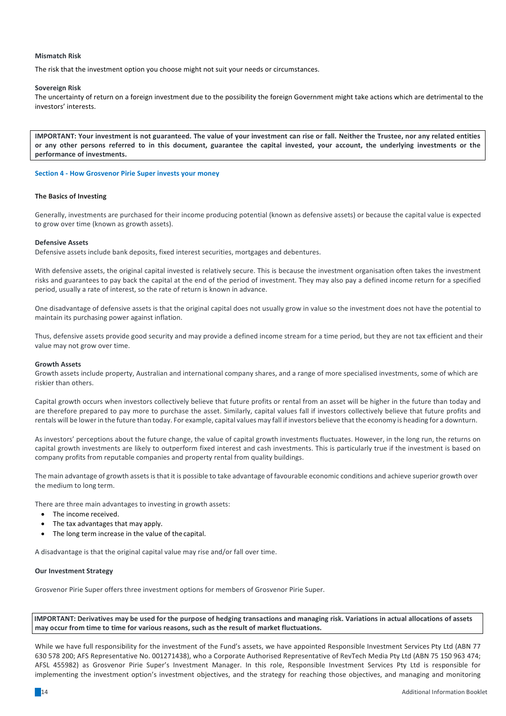## **Mismatch Risk**

The risk that the investment option you choose might not suit your needs or circumstances.

## **Sovereign Risk**

The uncertainty of return on a foreign investment due to the possibility the foreign Government might take actions which are detrimental to the investors' interests.

**IMPORTANT:** Your investment is not guaranteed. The value of your investment can rise or fall. Neither the Trustee, nor any related entities or any other persons referred to in this document, guarantee the capital invested, your account, the underlying investments or the **performance of investments.**

## **Section 4 - How Grosvenor Pirie Super invests your money**

## **The Basics of Investing**

Generally, investments are purchased for their income producing potential (known as defensive assets) or because the capital value is expected to grow over time (known as growth assets).

## **Defensive Assets**

Defensive assets include bank deposits, fixed interest securities, mortgages and debentures.

With defensive assets, the original capital invested is relatively secure. This is because the investment organisation often takes the investment risks and guarantees to pay back the capital at the end of the period of investment. They may also pay a defined income return for a specified period, usually a rate of interest, so the rate of return is known in advance.

One disadvantage of defensive assets is that the original capital does not usually grow in value so the investment does not have the potential to maintain its purchasing power against inflation.

Thus, defensive assets provide good security and may provide a defined income stream for a time period, but they are not tax efficient and their value may not grow over time.

## **Growth Assets**

Growth assets include property, Australian and international company shares, and a range of more specialised investments, some of which are riskier than others.

Capital growth occurs when investors collectively believe that future profits or rental from an asset will be higher in the future than today and are therefore prepared to pay more to purchase the asset. Similarly, capital values fall if investors collectively believe that future profits and rentals will be lower in the future than today. For example, capital values may fall if investors believe that the economy is heading for a downturn.

As investors' perceptions about the future change, the value of capital growth investments fluctuates. However, in the long run, the returns on capital growth investments are likely to outperform fixed interest and cash investments. This is particularly true if the investment is based on company profits from reputable companies and property rental from quality buildings.

The main advantage of growth assetsisthat it is possible to take advantage of favourable economic conditions and achieve superior growth over the medium to long term.

There are three main advantages to investing in growth assets:

- The income received
- The tax advantages that may apply.
- The long term increase in the value of the capital.

A disadvantage is that the original capital value may rise and/or fall over time.

# **Our Investment Strategy**

Grosvenor Pirie Super offers three investment options for members of Grosvenor Pirie Super.

**IMPORTANT:** Derivatives may be used for the purpose of hedging transactions and managing risk. Variations in actual allocations of assets may occur from time to time for various reasons, such as the result of market fluctuations.

While we have full responsibility for the investment of the Fund's assets, we have appointed Responsible Investment Services Pty Ltd (ABN 77 630 578 200; AFS Representative No. 001271438), who a Corporate Authorised Representative of RevTech Media Pty Ltd (ABN 75 150 963 474; AFSL 455982) as Grosvenor Pirie Super's Investment Manager. In this role, Responsible Investment Services Pty Ltd is responsible for implementing the investment option's investment objectives, and the strategy for reaching those objectives, and managing and monitoring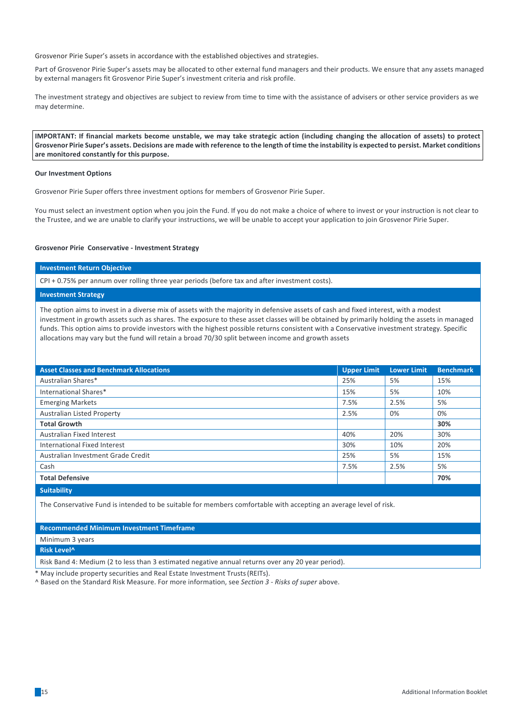Grosvenor Pirie Super's assets in accordance with the established objectives and strategies.

Part of Grosvenor Pirie Super's assets may be allocated to other external fund managers and their products. We ensure that any assets managed by external managers fit Grosvenor Pirie Super's investment criteria and risk profile.

The investment strategy and objectives are subject to review from time to time with the assistance of advisers or other service providers as we may determine.

**IMPORTANT:** If financial markets become unstable, we may take strategic action (including changing the allocation of assets) to protect Grosvenor Pirie Super's assets. Decisions are made with reference to the length of time the instability is expected to persist. Market conditions **are monitored constantly for this purpose.**

## **Our Investment Options**

Grosvenor Pirie Super offers three investment options for members of Grosvenor Pirie Super.

You must select an investment option when you join the Fund. If you do not make a choice of where to invest or your instruction is not clear to the Trustee, and we are unable to clarify your instructions, we will be unable to accept your application to join Grosvenor Pirie Super.

#### **Grosvenor Pirie Conservative - Investment Strategy**

# **Investment Return Objective**

CPI + 0.75% per annum over rolling three year periods (before tax and after investment costs).

# **Investment Strategy**

The option aims to invest in a diverse mix of assets with the majority in defensive assets of cash and fixed interest, with a modest investment in growth assets such as shares. The exposure to these asset classes will be obtained by primarily holding the assets in managed funds. This option aims to provide investors with the highest possible returns consistent with a Conservative investment strategy. Specific allocations may vary but the fund will retain a broad 70/30 split between income and growth assets

| <b>Asset Classes and Benchmark Allocations</b> | <b>Upper Limit</b> | <b>Lower Limit</b> | <b>Benchmark</b> |
|------------------------------------------------|--------------------|--------------------|------------------|
| Australian Shares*                             | 25%                | 5%                 | 15%              |
| International Shares*                          | 15%                | 5%                 | 10%              |
| <b>Emerging Markets</b>                        | 7.5%               | 2.5%               | 5%               |
| <b>Australian Listed Property</b>              | 2.5%               | 0%                 | 0%               |
| <b>Total Growth</b>                            |                    |                    | 30%              |
| <b>Australian Fixed Interest</b>               | 40%                | 20%                | 30%              |
| International Fixed Interest                   | 30%                | 10%                | 20%              |
| Australian Investment Grade Credit             | 25%                | 5%                 | 15%              |
| Cash                                           | 7.5%               | 2.5%               | 5%               |
| <b>Total Defensive</b>                         |                    |                    | 70%              |
| <b>Suitability</b>                             |                    |                    |                  |

The Conservative Fund is intended to be suitable for members comfortable with accepting an average level of risk.

**Recommended Minimum Investment Timeframe**

Minimum 3 years

**Risk Level^**

Risk Band 4: Medium (2 to less than 3 estimated negative annual returns over any 20 year period).

May include property securities and Real Estate Investment Trusts (REITs).

^ Based on the Standard Risk Measure. For more information, see *Section 3 - Risks of super* above.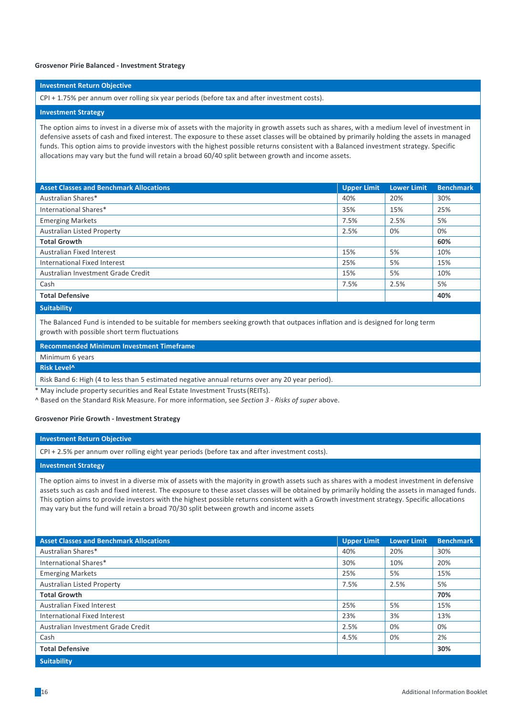#### **Grosvenor Pirie Balanced - Investment Strategy**

## **Investment Return Objective**

CPI + 1.75% per annum over rolling six year periods (before tax and after investment costs).

## **Investment Strategy**

The option aims to invest in a diverse mix of assets with the majority in growth assets such as shares, with a medium level of investment in defensive assets of cash and fixed interest. The exposure to these asset classes will be obtained by primarily holding the assets in managed funds. This option aims to provide investors with the highest possible returns consistent with a Balanced investment strategy. Specific allocations may vary but the fund will retain a broad 60/40 split between growth and income assets.

| <b>Asset Classes and Benchmark Allocations</b> | <b>Upper Limit</b> | <b>Lower Limit</b> | <b>Benchmark</b> |
|------------------------------------------------|--------------------|--------------------|------------------|
| Australian Shares*                             | 40%                | 20%                | 30%              |
| International Shares*                          | 35%                | 15%                | 25%              |
| <b>Emerging Markets</b>                        | 7.5%               | 2.5%               | 5%               |
| <b>Australian Listed Property</b>              | 2.5%               | 0%                 | 0%               |
| <b>Total Growth</b>                            |                    |                    | 60%              |
| Australian Fixed Interest                      | 15%                | 5%                 | 10%              |
| International Fixed Interest                   | 25%                | 5%                 | 15%              |
| Australian Investment Grade Credit             | 15%                | 5%                 | 10%              |
| Cash                                           | 7.5%               | 2.5%               | 5%               |
| <b>Total Defensive</b>                         |                    |                    | 40%              |
| <b>Contract Contract</b>                       |                    |                    |                  |

#### **Suitability**

The Balanced Fund is intended to be suitable for members seeking growth that outpaces inflation and is designed for long term growth with possible short term fluctuations

**Recommended Minimum Investment Timeframe**

# Minimum 6 years

# **Risk Level^**

Risk Band 6: High (4 to less than 5 estimated negative annual returns over any 20 year period).

May include property securities and Real Estate Investment Trusts (REITs).

^ Based on the Standard Risk Measure. For more information, see *Section 3 - Risks of super* above.

#### **Grosvenor Pirie Growth - Investment Strategy**

#### **Investment Return Objective**

CPI + 2.5% per annum over rolling eight year periods (before tax and after investment costs).

## **Investment Strategy**

The option aims to invest in a diverse mix of assets with the majority in growth assets such as shares with a modest investment in defensive assets such as cash and fixed interest. The exposure to these asset classes will be obtained by primarily holding the assets in managed funds. This option aims to provide investors with the highest possible returns consistent with a Growth investment strategy. Specific allocations may vary but the fund will retain a broad 70/30 split between growth and income assets

| <b>Asset Classes and Benchmark Allocations</b> | <b>Upper Limit</b> | <b>Lower Limit</b> | <b>Benchmark</b> |
|------------------------------------------------|--------------------|--------------------|------------------|
| Australian Shares*                             | 40%                | 20%                | 30%              |
| International Shares*                          | 30%                | 10%                | 20%              |
| <b>Emerging Markets</b>                        | 25%                | 5%                 | 15%              |
| <b>Australian Listed Property</b>              | 7.5%               | 2.5%               | 5%               |
| <b>Total Growth</b>                            |                    |                    | 70%              |
| <b>Australian Fixed Interest</b>               | 25%                | 5%                 | 15%              |
| International Fixed Interest                   | 23%                | 3%                 | 13%              |
| Australian Investment Grade Credit             | 2.5%               | 0%                 | 0%               |
| Cash                                           | 4.5%               | 0%                 | 2%               |
| <b>Total Defensive</b>                         |                    |                    | 30%              |
| <b>Suitability</b>                             |                    |                    |                  |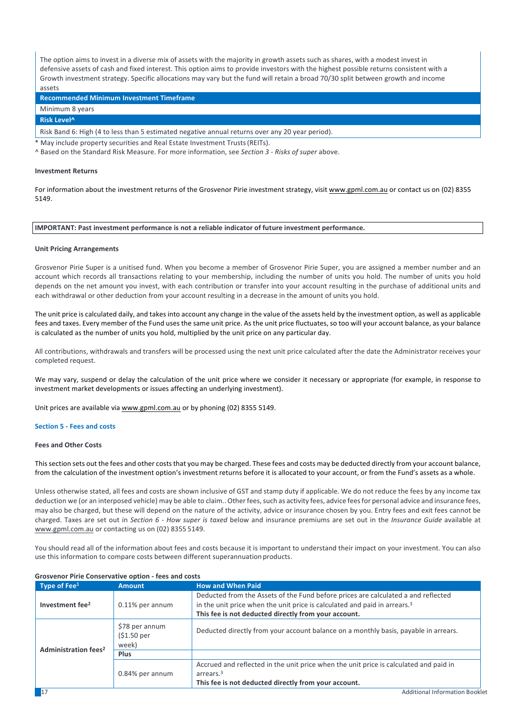The option aims to invest in a diverse mix of assets with the majority in growth assets such as shares, with a modest invest in defensive assets of cash and fixed interest. This option aims to provide investors with the highest possible returns consistent with a Growth investment strategy. Specific allocations may vary but the fund will retain a broad 70/30 split between growth and income assets

**Recommended Minimum Investment Timeframe**

Minimum 8 years

**Risk Level^**

Risk Band 6: High (4 to less than 5 estimated negative annual returns over any 20 year period).

May include property securities and Real Estate Investment Trusts (REITs).

^ Based on the Standard Risk Measure. For more information, see *Section 3 - Risks of super* above.

## **Investment Returns**

For information about the investment returns of the Grosvenor Pirie investment strategy, visit www.gpml.com.au or contact us on (02) 8355 5149.

## **IMPORTANT: Past investment performance is not a reliable indicator of future investment performance.**

#### **Unit Pricing Arrangements**

Grosvenor Pirie Super is a unitised fund. When you become a member of Grosvenor Pirie Super, you are assigned a member number and an account which records all transactions relating to your membership, including the number of units you hold. The number of units you hold depends on the net amount vou invest, with each contribution or transfer into your account resulting in the purchase of additional units and each withdrawal or other deduction from your account resulting in a decrease in the amount of units you hold.

The unit price is calculated daily, and takes into account any change in the value of the assets held by the investment option, as well as applicable fees and taxes. Every member of the Fund uses the same unit price. As the unit price fluctuates, so too will your account balance, as your balance is calculated as the number of units you hold, multiplied by the unit price on any particular day.

All contributions, withdrawals and transfers will be processed using the next unit price calculated after the date the Administrator receives your completed request.

We may vary, suspend or delay the calculation of the unit price where we consider it necessary or appropriate (for example, in response to investment market developments or issues affecting an underlying investment).

Unit prices are available via www.gpml.com.au or by phoning (02) 8355 5149.

#### **Section 5 - Fees and costs**

## **Fees and Other Costs**

Thissection sets out the fees and other coststhat you may be charged. These fees and costs may be deducted directly from your account balance, from the calculation of the investment option's investment returns before it is allocated to your account, or from the Fund's assets as a whole.

Unless otherwise stated, all fees and costs are shown inclusive of GST and stamp duty if applicable. We do not reduce the fees by any income tax deduction we (or an interposed vehicle) may be able to claim.. Other fees, such as activity fees, advice fees for personal advice and insurance fees, may also be charged, but these will depend on the nature of the activity, advice or insurance chosen by you. Entry fees and exit fees cannot be charged. Taxes are set out in *Section 6 - How super is taxed* below and insurance premiums are set out in the Insurance Guide available at www.gpml.com.au or contacting us on (02) 8355 5149.

You should read all of the information about fees and costs because it is important to understand their impact on your investment. You can also use this information to compare costs between different superannuation products.

| Type of $\text{Fe}^{1}$                | <b>Amount</b>                                      | <b>How and When Paid</b>                                                                                                                                                                                                           |  |
|----------------------------------------|----------------------------------------------------|------------------------------------------------------------------------------------------------------------------------------------------------------------------------------------------------------------------------------------|--|
| Investment fee <sup>2</sup>            | 0.11% per annum                                    | Deducted from the Assets of the Fund before prices are calculated a and reflected<br>in the unit price when the unit price is calculated and paid in arrears. <sup>3</sup><br>This fee is not deducted directly from your account. |  |
| <b>Administration fees<sup>2</sup></b> | \$78 per annum<br>(51.50 <sub>per</sub> )<br>week) | Deducted directly from your account balance on a monthly basis, payable in arrears.                                                                                                                                                |  |
|                                        | Plus                                               |                                                                                                                                                                                                                                    |  |
|                                        | 0.84% per annum                                    | Accrued and reflected in the unit price when the unit price is calculated and paid in<br>arrears. <sup>3</sup><br>This fee is not deducted directly from your account.                                                             |  |

# **Grosvenor Pirie Conservative option - fees and costs**

**17** Additional Information Booklet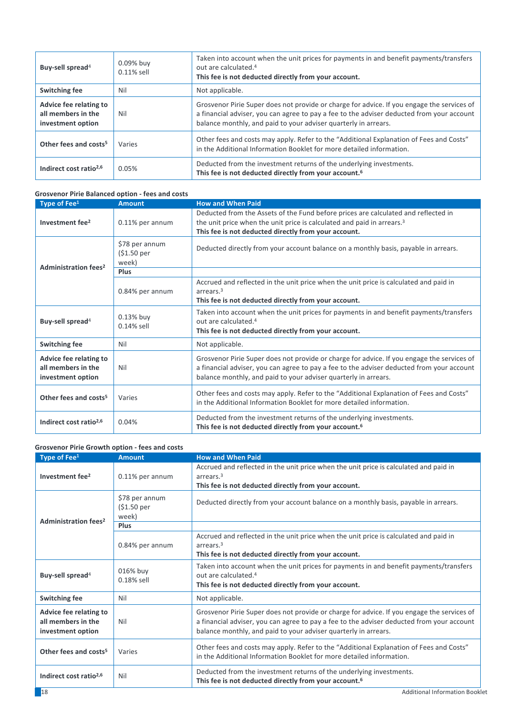| Buy-sell spread <sup>4</sup>                                      | 0.09% buy<br>$0.11\%$ sell | Taken into account when the unit prices for payments in and benefit payments/transfers<br>out are calculated. <sup>4</sup><br>This fee is not deducted directly from your account.                                                                         |
|-------------------------------------------------------------------|----------------------------|------------------------------------------------------------------------------------------------------------------------------------------------------------------------------------------------------------------------------------------------------------|
| <b>Switching fee</b>                                              | Nil                        | Not applicable.                                                                                                                                                                                                                                            |
| Advice fee relating to<br>all members in the<br>investment option | Nil                        | Grosvenor Pirie Super does not provide or charge for advice. If you engage the services of<br>a financial adviser, you can agree to pay a fee to the adviser deducted from your account<br>balance monthly, and paid to your adviser quarterly in arrears. |
| Other fees and costs <sup>5</sup>                                 | Varies                     | Other fees and costs may apply. Refer to the "Additional Explanation of Fees and Costs"<br>in the Additional Information Booklet for more detailed information.                                                                                            |
| Indirect cost ratio <sup>2,6</sup>                                | 0.05%                      | Deducted from the investment returns of the underlying investments.<br>This fee is not deducted directly from your account. <sup>6</sup>                                                                                                                   |

| Grosvenor Pirie Balanced option - fees and costs                  |                                        |                                                                                                                                                                                                                                                            |
|-------------------------------------------------------------------|----------------------------------------|------------------------------------------------------------------------------------------------------------------------------------------------------------------------------------------------------------------------------------------------------------|
| Type of Fee <sup>1</sup>                                          | <b>Amount</b>                          | <b>How and When Paid</b>                                                                                                                                                                                                                                   |
| Investment fee <sup>2</sup>                                       | 0.11% per annum                        | Deducted from the Assets of the Fund before prices are calculated and reflected in<br>the unit price when the unit price is calculated and paid in arrears. <sup>3</sup><br>This fee is not deducted directly from your account.                           |
|                                                                   | \$78 per annum<br>$$1.50$ per<br>week) | Deducted directly from your account balance on a monthly basis, payable in arrears.                                                                                                                                                                        |
| Administration fees <sup>2</sup>                                  | Plus                                   |                                                                                                                                                                                                                                                            |
|                                                                   | 0.84% per annum                        | Accrued and reflected in the unit price when the unit price is calculated and paid in<br>arrears. <sup>3</sup><br>This fee is not deducted directly from your account.                                                                                     |
| Buy-sell spread <sup>4</sup>                                      | 0.13% buy<br>$0.14\%$ sell             | Taken into account when the unit prices for payments in and benefit payments/transfers<br>out are calculated. <sup>4</sup><br>This fee is not deducted directly from your account.                                                                         |
| <b>Switching fee</b>                                              | Nil                                    | Not applicable.                                                                                                                                                                                                                                            |
| Advice fee relating to<br>all members in the<br>investment option | Nil                                    | Grosvenor Pirie Super does not provide or charge for advice. If you engage the services of<br>a financial adviser, you can agree to pay a fee to the adviser deducted from your account<br>balance monthly, and paid to your adviser quarterly in arrears. |
| Other fees and costs <sup>5</sup>                                 | Varies                                 | Other fees and costs may apply. Refer to the "Additional Explanation of Fees and Costs"<br>in the Additional Information Booklet for more detailed information.                                                                                            |
| Indirect cost ratio <sup>2,6</sup>                                | 0.04%                                  | Deducted from the investment returns of the underlying investments.<br>This fee is not deducted directly from your account. <sup>6</sup>                                                                                                                   |

| <b>Grosvenor Pirie Growth option - fees and costs</b>             |                                                    |                                                                                                                                                                                                                                                            |
|-------------------------------------------------------------------|----------------------------------------------------|------------------------------------------------------------------------------------------------------------------------------------------------------------------------------------------------------------------------------------------------------------|
| Type of Fee <sup>1</sup>                                          | <b>Amount</b>                                      | <b>How and When Paid</b>                                                                                                                                                                                                                                   |
| Investment fee <sup>2</sup>                                       | 0.11% per annum                                    | Accrued and reflected in the unit price when the unit price is calculated and paid in<br>arrears. <sup>3</sup><br>This fee is not deducted directly from your account.                                                                                     |
| <b>Administration fees<sup>2</sup></b>                            | \$78 per annum<br>(S1.50 <sub>per</sub> )<br>week) | Deducted directly from your account balance on a monthly basis, payable in arrears.                                                                                                                                                                        |
|                                                                   | Plus                                               |                                                                                                                                                                                                                                                            |
| 0.84% per annum                                                   |                                                    | Accrued and reflected in the unit price when the unit price is calculated and paid in<br>arrears. <sup>3</sup><br>This fee is not deducted directly from your account.                                                                                     |
| Buy-sell spread <sup>4</sup>                                      | 016% buy<br>$0.18\%$ sell                          | Taken into account when the unit prices for payments in and benefit payments/transfers<br>out are calculated. <sup>4</sup><br>This fee is not deducted directly from your account.                                                                         |
| <b>Switching fee</b>                                              | Nil                                                | Not applicable.                                                                                                                                                                                                                                            |
| Advice fee relating to<br>all members in the<br>investment option | Nil                                                | Grosvenor Pirie Super does not provide or charge for advice. If you engage the services of<br>a financial adviser, you can agree to pay a fee to the adviser deducted from your account<br>balance monthly, and paid to your adviser quarterly in arrears. |
| Other fees and costs <sup>5</sup>                                 | Varies                                             | Other fees and costs may apply. Refer to the "Additional Explanation of Fees and Costs"<br>in the Additional Information Booklet for more detailed information.                                                                                            |
| Indirect cost ratio $2,6$                                         | Nil                                                | Deducted from the investment returns of the underlying investments.<br>This fee is not deducted directly from your account. <sup>6</sup>                                                                                                                   |
| 18                                                                |                                                    | <b>Additional Information Booklet</b>                                                                                                                                                                                                                      |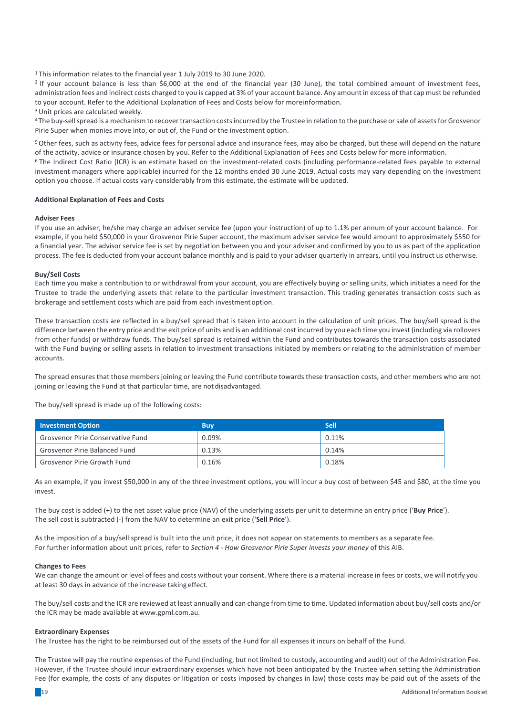<sup>1</sup> This information relates to the financial year 1 July 2019 to 30 June 2020.

<sup>2</sup> If your account balance is less than \$6,000 at the end of the financial year (30 June), the total combined amount of investment fees, administration fees and indirect costs charged to you is capped at 3% of your account balance. Any amount in excess of that cap must be refunded to your account. Refer to the Additional Explanation of Fees and Costs below for moreinformation.

 $3$  Unit prices are calculated weekly.

<sup>4</sup> The buy-sell spread is a mechanism to recover transaction costs incurred by the Trustee in relation to the purchase or sale of assets for Grosvenor Pirie Super when monies move into, or out of, the Fund or the investment option.

<sup>5</sup> Other fees, such as activity fees, advice fees for personal advice and insurance fees, may also be charged, but these will depend on the nature of the activity, advice or insurance chosen by you. Refer to the Additional Explanation of Fees and Costs below for more information.

<sup>6</sup> The Indirect Cost Ratio (ICR) is an estimate based on the investment-related costs (including performance-related fees payable to external investment managers where applicable) incurred for the 12 months ended 30 June 2019. Actual costs may vary depending on the investment option you choose. If actual costs vary considerably from this estimate, the estimate will be updated.

## **Additional Explanation of Fees and Costs**

## **Adviser Fees**

If you use an adviser, he/she may charge an adviser service fee (upon your instruction) of up to 1.1% per annum of your account balance. For example, if you held \$50,000 in your Grosvenor Pirie Super account, the maximum adviser service fee would amount to approximately \$550 for a financial year. The advisor service fee is set by negotiation between you and your adviser and confirmed by you to us as part of the application process. The fee is deducted from your account balance monthly and is paid to your adviser quarterly in arrears, until you instruct us otherwise.

## **Buy/Sell Costs**

Each time you make a contribution to or withdrawal from your account, you are effectively buying or selling units, which initiates a need for the Trustee to trade the underlying assets that relate to the particular investment transaction. This trading generates transaction costs such as brokerage and settlement costs which are paid from each investment option.

These transaction costs are reflected in a buy/sell spread that is taken into account in the calculation of unit prices. The buy/sell spread is the difference between the entry price and the exit price of units and is an additional cost incurred by you each time you invest (including via rollovers from other funds) or withdraw funds. The buy/sell spread is retained within the Fund and contributes towards the transaction costs associated with the Fund buying or selling assets in relation to investment transactions initiated by members or relating to the administration of member accounts.

The spread ensures that those members joining or leaving the Fund contribute towards these transaction costs, and other members who are not joining or leaving the Fund at that particular time, are not disadvantaged.

The buy/sell spread is made up of the following costs:

| <b>Investment Option</b>                 | 'Buv  | <b>Sell</b> |
|------------------------------------------|-------|-------------|
| <b>Grosvenor Pirie Conservative Fund</b> | 0.09% | 0.11%       |
| <b>Grosvenor Pirie Balanced Fund</b>     | 0.13% | 0.14%       |
| <b>Grosvenor Pirie Growth Fund</b>       | 0.16% | 0.18%       |

As an example, if you invest \$50,000 in any of the three investment options, you will incur a buy cost of between \$45 and \$80, at the time you invest.

The buy cost is added (+) to the net asset value price (NAV) of the underlying assets per unit to determine an entry price ('Buy Price'). The sell cost is subtracted (-) from the NAV to determine an exit price ('Sell Price').

As the imposition of a buy/sell spread is built into the unit price, it does not appear on statements to members as a separate fee. For further information about unit prices, refer to *Section 4 - How Grosvenor Pirie Super invests your money* of this AIB.

## **Changes to Fees**

We can change the amount or level of fees and costs without your consent. Where there is a material increase in fees or costs, we will notify you at least 30 days in advance of the increase taking effect.

The buy/sell costs and the ICR are reviewed at least annually and can change from time to time. Updated information about buy/sell costs and/or the ICR may be made available at www.gpml.com.au.

## **Extraordinary Expenses**

The Trustee has the right to be reimbursed out of the assets of the Fund for all expenses it incurs on behalf of the Fund.

The Trustee will pay the routine expenses of the Fund (including, but not limited to custody, accounting and audit) out of the Administration Fee. However, if the Trustee should incur extraordinary expenses which have not been anticipated by the Trustee when setting the Administration Fee (for example, the costs of any disputes or litigation or costs imposed by changes in law) those costs may be paid out of the assets of the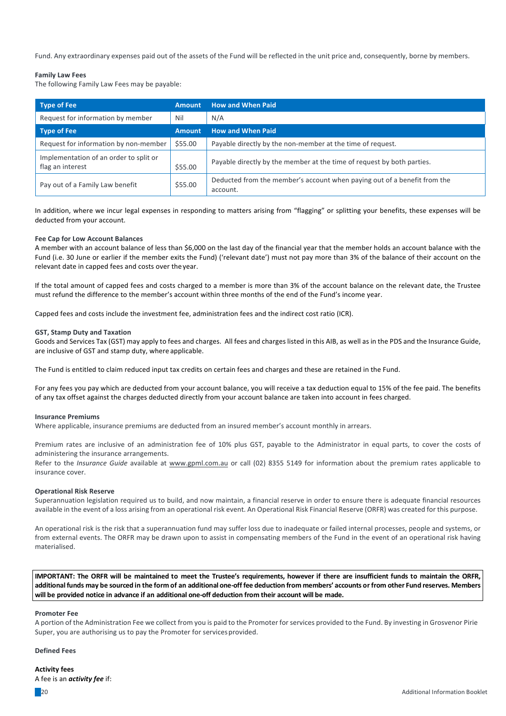Fund. Any extraordinary expenses paid out of the assets of the Fund will be reflected in the unit price and, consequently, borne by members.

# **Family Law Fees**

The following Family Law Fees may be payable:

| Type of Fee                                                | <b>Amount</b> | <b>How and When Paid</b>                                                             |
|------------------------------------------------------------|---------------|--------------------------------------------------------------------------------------|
| Request for information by member                          | Nil           | N/A                                                                                  |
| <b>Type of Fee</b>                                         | Amount        | <b>How and When Paid</b>                                                             |
| Request for information by non-member                      | \$55.00       | Payable directly by the non-member at the time of request.                           |
| Implementation of an order to split or<br>flag an interest | \$55.00       | Payable directly by the member at the time of request by both parties.               |
| Pay out of a Family Law benefit                            | \$55.00       | Deducted from the member's account when paying out of a benefit from the<br>account. |

In addition, where we incur legal expenses in responding to matters arising from "flagging" or splitting your benefits, these expenses will be deducted from your account.

# **Fee Cap for Low Account Balances**

A member with an account balance of less than \$6,000 on the last day of the financial year that the member holds an account balance with the Fund (i.e. 30 June or earlier if the member exits the Fund) ('relevant date') must not pay more than 3% of the balance of their account on the relevant date in capped fees and costs over the year.

If the total amount of capped fees and costs charged to a member is more than 3% of the account balance on the relevant date, the Trustee must refund the difference to the member's account within three months of the end of the Fund's income year.

Capped fees and costs include the investment fee, administration fees and the indirect cost ratio (ICR).

## **GST, Stamp Duty and Taxation**

Goods and Services Tax (GST) may apply to fees and charges. All fees and charges listed in this AIB, as well as in the PDS and the Insurance Guide, are inclusive of GST and stamp duty, where applicable.

The Fund is entitled to claim reduced input tax credits on certain fees and charges and these are retained in the Fund.

For any fees you pay which are deducted from your account balance, you will receive a tax deduction equal to 15% of the fee paid. The benefits of any tax offset against the charges deducted directly from your account balance are taken into account in fees charged.

## **Insurance Premiums**

Where applicable, insurance premiums are deducted from an insured member's account monthly in arrears.

Premium rates are inclusive of an administration fee of 10% plus GST, payable to the Administrator in equal parts, to cover the costs of administering the insurance arrangements.

Refer to the *Insurance Guide* available at www.gpml.com.au or call (02) 8355 5149 for information about the premium rates applicable to insurance cover.

## **Operational Risk Reserve**

Superannuation legislation required us to build, and now maintain, a financial reserve in order to ensure there is adequate financial resources available in the event of a loss arising from an operational risk event. An Operational Risk Financial Reserve (ORFR) was created for this purpose.

An operational risk is the risk that a superannuation fund may suffer loss due to inadequate or failed internal processes, people and systems, or from external events. The ORFR may be drawn upon to assist in compensating members of the Fund in the event of an operational risk having materialised.

IMPORTANT: The ORFR will be maintained to meet the Trustee's requirements, however if there are insufficient funds to maintain the ORFR, additional funds may be sourced in the form of an additional one-off fee deduction from members' accounts or from other Fund reserves. Members will be provided notice in advance if an additional one-off deduction from their account will be made.

## **Promoter Fee**

A portion of the Administration Fee we collect from you is paid to the Promoter for services provided to the Fund. By investing in Grosvenor Pirie Super, you are authorising us to pay the Promoter for services provided.

## **Defined Fees**

**Activity fees**

A fee is an *activity fee* if: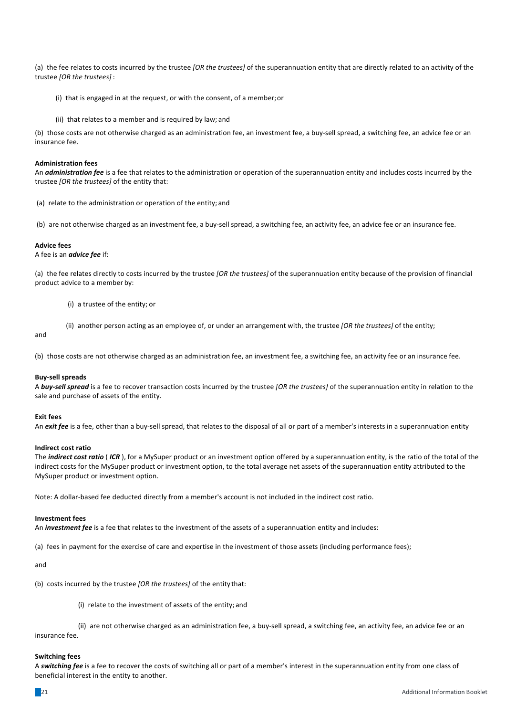(a) the fee relates to costs incurred by the trustee [OR the trustees] of the superannuation entity that are directly related to an activity of the trustee [OR the trustees] :

- (i) that is engaged in at the request, or with the consent, of a member; or
- (ii) that relates to a member and is required by law; and

(b) those costs are not otherwise charged as an administration fee, an investment fee, a buy-sell spread, a switching fee, an advice fee or an insurance fee.

# **Administration fees**

An **administration fee** is a fee that relates to the administration or operation of the superannuation entity and includes costs incurred by the trustee [OR the trustees] of the entity that:

(a) relate to the administration or operation of the entity; and

(b) are not otherwise charged as an investment fee, a buy-sell spread, a switching fee, an activity fee, an advice fee or an insurance fee.

## **Advice fees**

A fee is an *advice fee* if:

(a) the fee relates directly to costs incurred by the trustee *[OR the trustees]* of the superannuation entity because of the provision of financial product advice to a member by:

(i) a trustee of the entity; or

(ii) another person acting as an employee of, or under an arrangement with, the trustee *[OR the trustees]* of the entity;

and

(b) those costs are not otherwise charged as an administration fee, an investment fee, a switching fee, an activity fee or an insurance fee.

## **Buy-sell spreads**

A **buy-sell spread** is a fee to recover transaction costs incurred by the trustee [OR the trustees] of the superannuation entity in relation to the sale and purchase of assets of the entity.

## **Exit fees**

An *exit fee* is a fee, other than a buy-sell spread, that relates to the disposal of all or part of a member's interests in a superannuation entity

## **Indirect cost ratio**

The *indirect cost ratio* (*ICR*), for a MySuper product or an investment option offered by a superannuation entity, is the ratio of the total of the indirect costs for the MySuper product or investment option, to the total average net assets of the superannuation entity attributed to the MySuper product or investment option.

Note: A dollar-based fee deducted directly from a member's account is not included in the indirect cost ratio.

# **Investment fees**

An *investment fee* is a fee that relates to the investment of the assets of a superannuation entity and includes:

(a) fees in payment for the exercise of care and expertise in the investment of those assets (including performance fees);

and

(b) costs incurred by the trustee [OR the trustees] of the entity that:

(i) relate to the investment of assets of the entity; and

(ii) are not otherwise charged as an administration fee, a buy-sell spread, a switching fee, an activity fee, an advice fee or an insurance fee.

#### **Switching fees**

A *switching fee* is a fee to recover the costs of switching all or part of a member's interest in the superannuation entity from one class of beneficial interest in the entity to another.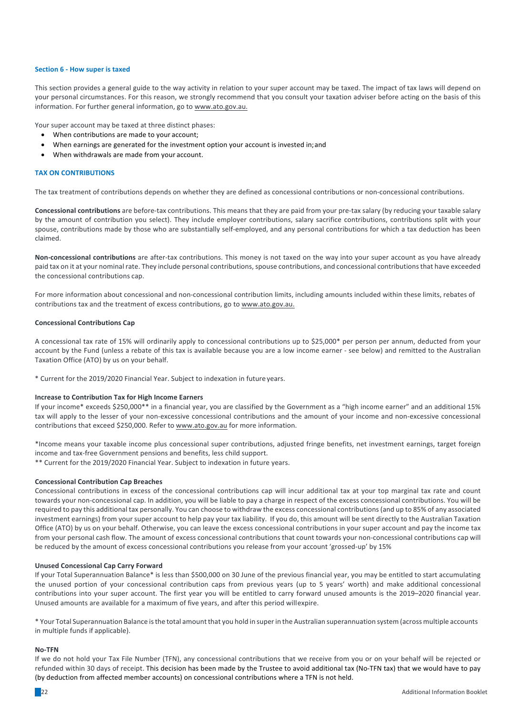## **Section 6 - How super is taxed**

This section provides a general guide to the way activity in relation to your super account may be taxed. The impact of tax laws will depend on your personal circumstances. For this reason, we strongly recommend that you consult your taxation adviser before acting on the basis of this information. For further general information, go to www.ato.gov.au.

Your super account may be taxed at three distinct phases:

- When contributions are made to your account;
- When earnings are generated for the investment option your account is invested in; and
- When withdrawals are made from your account.

## **TAX ON CONTRIBUTIONS**

The tax treatment of contributions depends on whether they are defined as concessional contributions or non-concessional contributions.

**Concessional contributions** are before-tax contributions. This means that they are paid from your pre-tax salary (by reducing your taxable salary by the amount of contribution you select). They include employer contributions, salary sacrifice contributions, contributions split with your spouse, contributions made by those who are substantially self-employed, and any personal contributions for which a tax deduction has been claimed.

**Non-concessional contributions** are after-tax contributions. This money is not taxed on the way into your super account as you have already paid tax on it at your nominal rate. They include personal contributions, spouse contributions, and concessional contributions that have exceeded the concessional contributions cap.

For more information about concessional and non-concessional contribution limits, including amounts included within these limits, rebates of contributions tax and the treatment of excess contributions, go to www.ato.gov.au.

#### **Concessional Contributions Cap**

A concessional tax rate of 15% will ordinarily apply to concessional contributions up to \$25,000\* per person per annum, deducted from your account by the Fund (unless a rebate of this tax is available because you are a low income earner - see below) and remitted to the Australian Taxation Office (ATO) by us on your behalf.

\* Current for the 2019/2020 Financial Year. Subject to indexation in future years.

## **Increase to Contribution Tax for High Income Earners**

If your income\* exceeds \$250,000\*\* in a financial year, you are classified by the Government as a "high income earner" and an additional 15% tax will apply to the lesser of your non-excessive concessional contributions and the amount of your income and non-excessive concessional contributions that exceed \$250,000. Refer to www.ato.gov.au for more information.

\*Income means your taxable income plus concessional super contributions, adjusted fringe benefits, net investment earnings, target foreign income and tax-free Government pensions and benefits, less child support.

\*\* Current for the 2019/2020 Financial Year. Subject to indexation in future years.

#### **Concessional Contribution Cap Breaches**

Concessional contributions in excess of the concessional contributions cap will incur additional tax at your top marginal tax rate and count towards your non-concessional cap. In addition, you will be liable to pay a charge in respect of the excess concessional contributions. You will be required to pay this additional tax personally. You can choose to withdraw the excess concessional contributions(and up to 85% of any associated investment earnings) from your super account to help pay your tax liability. If you do, this amount will be sent directly to the Australian Taxation Office (ATO) by us on your behalf. Otherwise, you can leave the excess concessional contributions in your super account and pay the income tax from your personal cash flow. The amount of excess concessional contributions that count towards your non-concessional contributions cap will be reduced by the amount of excess concessional contributions you release from your account 'grossed-up' by 15%

#### **Unused Concessional Cap Carry Forward**

If your Total Superannuation Balance\* is less than \$500,000 on 30 June of the previous financial year, you may be entitled to start accumulating the unused portion of your concessional contribution caps from previous years (up to 5 years' worth) and make additional concessional contributions into your super account. The first year you will be entitled to carry forward unused amounts is the 2019–2020 financial year. Unused amounts are available for a maximum of five years, and after this period willexpire.

\* Your Total Superannuation Balance is the total amount that you hold in super in the Australian superannuation system (across multiple accounts in multiple funds if applicable).

#### **No-TFN**

If we do not hold your Tax File Number (TFN), any concessional contributions that we receive from you or on your behalf will be rejected or refunded within 30 days of receipt. This decision has been made by the Trustee to avoid additional tax (No-TFN tax) that we would have to pay (by deduction from affected member accounts) on concessional contributions where a TFN is not held.

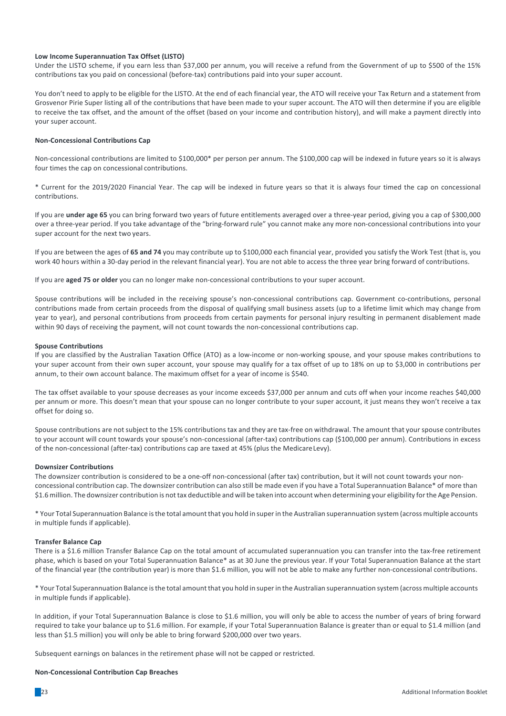## Low Income Superannuation Tax Offset (LISTO)

Under the LISTO scheme, if you earn less than \$37,000 per annum, you will receive a refund from the Government of up to \$500 of the 15% contributions tax you paid on concessional (before-tax) contributions paid into your super account.

You don't need to apply to be eligible for the LISTO. At the end of each financial year, the ATO will receive your Tax Return and a statement from Grosvenor Pirie Super listing all of the contributions that have been made to your super account. The ATO will then determine if you are eligible to receive the tax offset, and the amount of the offset (based on your income and contribution history), and will make a payment directly into your super account.

## **Non-Concessional Contributions Cap**

Non-concessional contributions are limited to \$100,000\* per person per annum. The \$100,000 cap will be indexed in future years so it is always four times the cap on concessional contributions.

\* Current for the 2019/2020 Financial Year. The cap will be indexed in future years so that it is always four timed the cap on concessional contributions.

If you are under age 65 you can bring forward two years of future entitlements averaged over a three-year period, giving you a cap of \$300,000 over a three-year period. If you take advantage of the "bring-forward rule" you cannot make any more non-concessional contributions into your super account for the next two years.

If you are between the ages of **65 and 74** you may contribute up to \$100,000 each financial year, provided you satisfy the Work Test (that is, you work 40 hours within a 30-day period in the relevant financial year). You are not able to access the three year bring forward of contributions.

If you are aged 75 or older you can no longer make non-concessional contributions to your super account.

Spouse contributions will be included in the receiving spouse's non-concessional contributions cap. Government co-contributions, personal contributions made from certain proceeds from the disposal of qualifying small business assets (up to a lifetime limit which may change from year to year), and personal contributions from proceeds from certain payments for personal injury resulting in permanent disablement made within 90 days of receiving the payment, will not count towards the non-concessional contributions cap.

#### **Spouse Contributions**

If you are classified by the Australian Taxation Office (ATO) as a low-income or non-working spouse, and your spouse makes contributions to your super account from their own super account, your spouse may qualify for a tax offset of up to 18% on up to \$3,000 in contributions per annum, to their own account balance. The maximum offset for a year of income is \$540.

The tax offset available to your spouse decreases as your income exceeds \$37,000 per annum and cuts off when your income reaches \$40,000 per annum or more. This doesn't mean that your spouse can no longer contribute to your super account, it just means they won't receive a tax offset for doing so.

Spouse contributions are not subject to the 15% contributions tax and they are tax-free on withdrawal. The amount that your spouse contributes to your account will count towards your spouse's non-concessional (after-tax) contributions cap (\$100,000 per annum). Contributions in excess of the non-concessional (after-tax) contributions cap are taxed at 45% (plus the Medicare Levy).

## **Downsizer Contributions**

The downsizer contribution is considered to be a one-off non-concessional (after tax) contribution, but it will not count towards your nonconcessional contribution cap. The downsizer contribution can also still be made even if you have a Total Superannuation Balance\* of more than \$1.6million. The downsizer contribution is nottax deductible and will be taken into account when determining your eligibility forthe Age Pension.

\* Your Total Superannuation Balance isthe total amountthat you hold in superin the Australian superannuation system (across multiple accounts in multiple funds if applicable).

## **Transfer Balance Cap**

There is a \$1.6 million Transfer Balance Cap on the total amount of accumulated superannuation you can transfer into the tax-free retirement phase, which is based on your Total Superannuation Balance\* as at 30 June the previous year. If your Total Superannuation Balance at the start of the financial year (the contribution year) is more than \$1.6 million, you will not be able to make any further non-concessional contributions.

\* Your Total Superannuation Balance isthe total amountthat you hold in superin the Australian superannuation system (across multiple accounts in multiple funds if applicable).

In addition, if your Total Superannuation Balance is close to \$1.6 million, you will only be able to access the number of years of bring forward required to take your balance up to \$1.6 million. For example, if your Total Superannuation Balance is greater than or equal to \$1.4 million (and less than \$1.5 million) you will only be able to bring forward \$200,000 over two years.

Subsequent earnings on balances in the retirement phase will not be capped or restricted.

## **Non-Concessional Contribution Cap Breaches**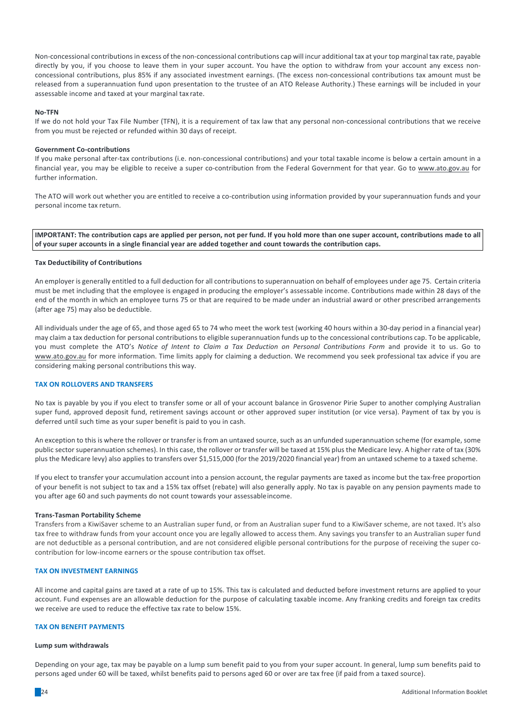Non-concessional contributionsin excess of the non-concessional contributions cap will incur additional tax at your top marginal tax rate, payable directly by you, if you choose to leave them in your super account. You have the option to withdraw from your account any excess nonconcessional contributions, plus 85% if any associated investment earnings. (The excess non-concessional contributions tax amount must be released from a superannuation fund upon presentation to the trustee of an ATO Release Authority.) These earnings will be included in your assessable income and taxed at your marginal tax rate.

## **No-TFN**

If we do not hold your Tax File Number (TFN), it is a requirement of tax law that any personal non-concessional contributions that we receive from you must be rejected or refunded within 30 days of receipt.

## **Government Co-contributions**

If you make personal after-tax contributions (i.e. non-concessional contributions) and your total taxable income is below a certain amount in a financial year, you may be eligible to receive a super co-contribution from the Federal Government for that year. Go to www.ato.gov.au for further information.

The ATO will work out whether you are entitled to receive a co-contribution using information provided by your superannuation funds and your personal income tax return.

**IMPORTANT:** The contribution caps are applied per person, not per fund. If you hold more than one super account, contributions made to all of your super accounts in a single financial year are added together and count towards the contribution caps.

#### **Tax Deductibility of Contributions**

An employer is generally entitled to a full deduction for all contributionsto superannuation on behalf of employees under age 75. Certain criteria must be met including that the employee is engaged in producing the employer's assessable income. Contributions made within 28 days of the end of the month in which an employee turns 75 or that are required to be made under an industrial award or other prescribed arrangements (after age 75) may also be deductible.

All individuals under the age of 65, and those aged 65 to 74 who meet the work test (working 40 hours within a 30-day period in a financial year) may claim a tax deduction for personal contributions to eligible superannuation funds up to the concessional contributions cap. To be applicable, you must complete the ATO's Notice of Intent to Claim a Tax Deduction on Personal Contributions Form and provide it to us. Go to www.ato.gov.au for more information. Time limits apply for claiming a deduction. We recommend you seek professional tax advice if you are considering making personal contributions this way.

## **TAX ON ROLLOVERS AND TRANSFERS**

No tax is payable by you if you elect to transfer some or all of your account balance in Grosvenor Pirie Super to another complying Australian super fund, approved deposit fund, retirement savings account or other approved super institution (or vice versa). Payment of tax by you is deferred until such time as your super benefit is paid to you in cash.

An exception to this is where the rollover or transfer is from an untaxed source, such as an unfunded superannuation scheme (for example, some public sector superannuation schemes). In this case, the rollover or transfer will be taxed at 15% plus the Medicare levy. A higher rate of tax (30% plus the Medicare levy) also applies to transfers over \$1,515,000 (for the 2019/2020 financial year) from an untaxed scheme to a taxed scheme.

If you elect to transfer your accumulation account into a pension account, the regular payments are taxed as income but the tax-free proportion of your benefit is not subject to tax and a 15% tax offset (rebate) will also generally apply. No tax is payable on any pension payments made to you after age 60 and such payments do not count towards your assessableincome.

# **Trans-Tasman Portability Scheme**

Transfers from a KiwiSaver scheme to an Australian super fund, or from an Australian super fund to a KiwiSaver scheme, are not taxed. It's also tax free to withdraw funds from your account once you are legally allowed to access them. Any savings you transfer to an Australian super fund are not deductible as a personal contribution, and are not considered eligible personal contributions for the purpose of receiving the super cocontribution for low-income earners or the spouse contribution tax offset.

# **TAX ON INVESTMENT EARNINGS**

All income and capital gains are taxed at a rate of up to 15%. This tax is calculated and deducted before investment returns are applied to your account. Fund expenses are an allowable deduction for the purpose of calculating taxable income. Any franking credits and foreign tax credits we receive are used to reduce the effective tax rate to below 15%.

## **TAX ON RENEFIT PAYMENTS**

#### **Lump sum withdrawals**

Depending on your age, tax may be payable on a lump sum benefit paid to you from your super account. In general, lump sum benefits paid to persons aged under 60 will be taxed, whilst benefits paid to persons aged 60 or over are tax free (if paid from a taxed source).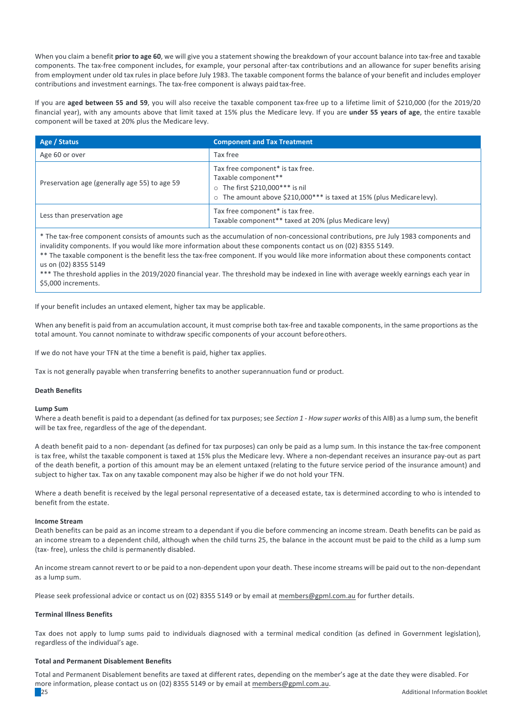When you claim a benefit **prior to age 60**, we will give you a statement showing the breakdown of your account balance into tax-free and taxable components. The tax-free component includes, for example, your personal after-tax contributions and an allowance for super benefits arising from employment under old tax rules in place before July 1983. The taxable component forms the balance of your benefit and includes employer contributions and investment earnings. The tax-free component is always paid tax-free.

If you are **aged between 55 and 59**, you will also receive the taxable component tax-free up to a lifetime limit of \$210,000 (for the 2019/20 financial year), with any amounts above that limit taxed at 15% plus the Medicare levy. If you are under 55 years of age, the entire taxable component will be taxed at 20% plus the Medicare levy.

| Age / Status                                  | <b>Component and Tax Treatment</b>                                                                                                                                           |
|-----------------------------------------------|------------------------------------------------------------------------------------------------------------------------------------------------------------------------------|
| Age 60 or over                                | Tax free                                                                                                                                                                     |
| Preservation age (generally age 55) to age 59 | Tax free component* is tax free.<br>Taxable component**<br>The first \$210,000*** is nil<br>$\circ$<br>○ The amount above \$210,000*** is taxed at 15% (plus Medicare levy). |
| Less than preservation age                    | Tax free component* is tax free.<br>Taxable component** taxed at 20% (plus Medicare levy)                                                                                    |

\* The tax-free component consists of amounts such as the accumulation of non-concessional contributions, pre July 1983 components and invalidity components. If you would like more information about these components contact us on (02) 8355 5149.

\*\* The taxable component is the benefit less the tax-free component. If you would like more information about these components contact us on (02) 8355 5149

\*\*\* The threshold applies in the 2019/2020 financial year. The threshold may be indexed in line with average weekly earnings each year in \$5,000 increments.

If your benefit includes an untaxed element, higher tax may be applicable.

When any benefit is paid from an accumulation account, it must comprise both tax-free and taxable components, in the same proportions as the total amount. You cannot nominate to withdraw specific components of your account before others.

If we do not have your TFN at the time a benefit is paid, higher tax applies.

Tax is not generally payable when transferring benefits to another superannuation fund or product.

## **Death Benefits**

## **Lump Sum**

Where a death benefit is paid to a dependant (as defined for tax purposes; see *Section 1 - How super works* of this AIB) as a lump sum, the benefit will be tax free, regardless of the age of the dependant.

A death benefit paid to a non- dependant (as defined for tax purposes) can only be paid as a lump sum. In this instance the tax-free component is tax free, whilst the taxable component is taxed at 15% plus the Medicare levy. Where a non-dependant receives an insurance pay-out as part of the death benefit, a portion of this amount may be an element untaxed (relating to the future service period of the insurance amount) and subject to higher tax. Tax on any taxable component may also be higher if we do not hold your TFN.

Where a death benefit is received by the legal personal representative of a deceased estate, tax is determined according to who is intended to benefit from the estate.

## **Income Stream**

Death benefits can be paid as an income stream to a dependant if you die before commencing an income stream. Death benefits can be paid as an income stream to a dependent child, although when the child turns 25, the balance in the account must be paid to the child as a lump sum (tax- free), unless the child is permanently disabled.

An income stream cannot revert to or be paid to a non-dependent upon your death. These income streams will be paid out to the non-dependant as a lump sum.

Please seek professional advice or contact us on (02) 8355 5149 or by email at members@gpml.com.au for further details.

## **Terminal Illness Benefits**

Tax does not apply to lump sums paid to individuals diagnosed with a terminal medical condition (as defined in Government legislation), regardless of the individual's age.

## **Total and Permanent Disablement Benefits**

essa and the control of the control of the control of the control of the control of the control of the control of the control of the control of the control of the control of the control of the control of the control of the Total and Permanent Disablement benefits are taxed at different rates, depending on the member's age at the date they were disabled. For more information, please contact us on (02) 8355 5149 or by email at members@gpml.com.au.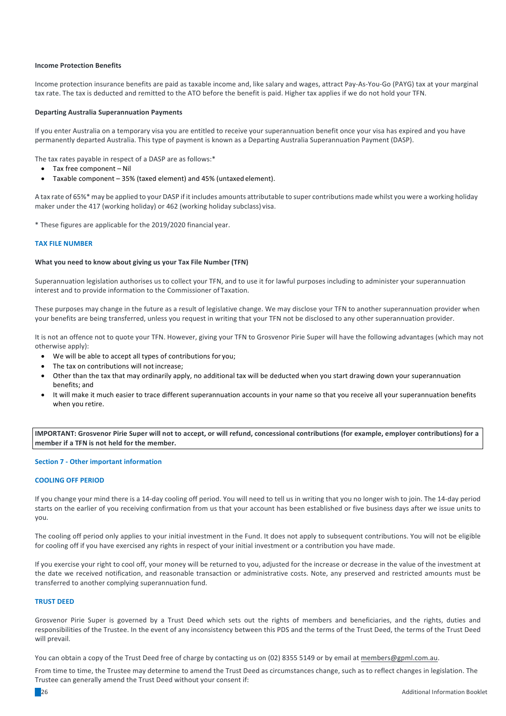## **Income Protection Benefits**

Income protection insurance benefits are paid as taxable income and, like salary and wages, attract Pay-As-You-Go (PAYG) tax at your marginal tax rate. The tax is deducted and remitted to the ATO before the benefit is paid. Higher tax applies if we do not hold your TFN.

## **Departing Australia Superannuation Payments**

If you enter Australia on a temporary visa you are entitled to receive your superannuation benefit once your visa has expired and you have permanently departed Australia. This type of payment is known as a Departing Australia Superannuation Payment (DASP).

The tax rates payable in respect of a DASP are as follows: $*$ 

- Tax free component Nil
- Taxable component  $-35%$  (taxed element) and 45% (untaxed element).

A tax rate of 65%\* may be applied to your DASP if it includes amounts attributable to super contributions made whilst you were a working holiday maker under the 417 (working holiday) or 462 (working holiday subclass) visa.

\* These figures are applicable for the 2019/2020 financial year.

#### **TAX FILE NUMBER**

#### **What you need to know about giving us your Tax File Number (TFN)**

Superannuation legislation authorises us to collect your TFN, and to use it for lawful purposes including to administer your superannuation interest and to provide information to the Commissioner of Taxation.

These purposes may change in the future as a result of legislative change. We may disclose your TFN to another superannuation provider when your benefits are being transferred, unless you request in writing that your TFN not be disclosed to any other superannuation provider.

It is not an offence not to quote your TFN. However, giving your TFN to Grosvenor Pirie Super will have the following advantages (which may not otherwise apply):

- We will be able to accept all types of contributions for you;
- The tax on contributions will not increase:
- Other than the tax that may ordinarily apply, no additional tax will be deducted when you start drawing down your superannuation benefits; and
- It will make it much easier to trace different superannuation accounts in your name so that you receive all your superannuation benefits when you retire.

**IMPORTANT:** Grosvenor Pirie Super will not to accept, or will refund, concessional contributions (for example, employer contributions) for a member if a TFN is not held for the member.

## **Section 7 - Other important information**

# **COOLING OFF PERIOD**

If you change your mind there is a 14-day cooling off period. You will need to tell us in writing that you no longer wish to join. The 14-day period starts on the earlier of vou receiving confirmation from us that your account has been established or five business days after we issue units to you.

The cooling off period only applies to your initial investment in the Fund. It does not apply to subsequent contributions. You will not be eligible for cooling off if you have exercised any rights in respect of your initial investment or a contribution you have made.

If you exercise your right to cool off, your money will be returned to you, adjusted for the increase or decrease in the value of the investment at the date we received notification, and reasonable transaction or administrative costs. Note, any preserved and restricted amounts must be transferred to another complying superannuation fund.

## **TRUST DEED**

Grosvenor Pirie Super is governed by a Trust Deed which sets out the rights of members and beneficiaries, and the rights, duties and responsibilities of the Trustee. In the event of any inconsistency between this PDS and the terms of the Trust Deed, the terms of the Trust Deed will prevail.

You can obtain a copy of the Trust Deed free of charge by contacting us on (02) 8355 5149 or by email at members@gpml.com.au.

From time to time, the Trustee may determine to amend the Trust Deed as circumstances change, such as to reflect changes in legislation. The Trustee can generally amend the Trust Deed without your consent if:

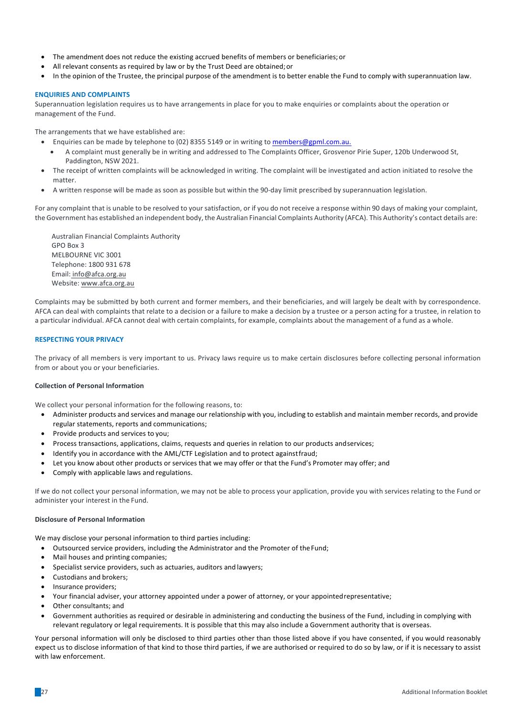- The amendment does not reduce the existing accrued benefits of members or beneficiaries; or
- All relevant consents as required by law or by the Trust Deed are obtained; or
- In the opinion of the Trustee, the principal purpose of the amendment is to better enable the Fund to comply with superannuation law.

# **ENQUIRIES AND COMPLAINTS**

Superannuation legislation requires us to have arrangements in place for you to make enquiries or complaints about the operation or management of the Fund.

The arrangements that we have established are:

- Enquiries can be made by telephone to (02) 8355 5149 or in writing to members@gpml.com.au.
- A complaint must generally be in writing and addressed to The Complaints Officer, Grosvenor Pirie Super, 120b Underwood St, Paddington, NSW 2021.
- The receipt of written complaints will be acknowledged in writing. The complaint will be investigated and action initiated to resolve the matter.
- A written response will be made as soon as possible but within the 90-day limit prescribed by superannuation legislation.

For any complaint that is unable to be resolved to your satisfaction, or if you do not receive a response within 90 days of making your complaint, the Government has established an independent body, the Australian Financial Complaints Authority (AFCA). This Authority's contact details are:

Australian Financial Complaints Authority GPO Box 3 MELBOURNE VIC 3001 Telephone: 1800 931 678 Email: info@afca.org.au Website: www.afca.org.au

Complaints may be submitted by both current and former members, and their beneficiaries, and will largely be dealt with by correspondence. AFCA can deal with complaints that relate to a decision or a failure to make a decision by a trustee or a person acting for a trustee, in relation to a particular individual. AFCA cannot deal with certain complaints, for example, complaints about the management of a fund as a whole.

# **RESPECTING YOUR PRIVACY**

The privacy of all members is very important to us. Privacy laws require us to make certain disclosures before collecting personal information from or about you or your beneficiaries.

# **Collection of Personal Information**

We collect your personal information for the following reasons, to:

- Administer products and services and manage our relationship with you, including to establish and maintain member records, and provide regular statements, reports and communications;
- Provide products and services to you;
- Process transactions, applications, claims, requests and queries in relation to our products andservices;
- Identify you in accordance with the AML/CTF Legislation and to protect against fraud;
- Let you know about other products or services that we may offer or that the Fund's Promoter may offer; and
- Comply with applicable laws and regulations.

If we do not collect your personal information, we may not be able to process your application, provide you with services relating to the Fund or administer your interest in the Fund.

## **Disclosure of Personal Information**

We may disclose your personal information to third parties including:

- Outsourced service providers, including the Administrator and the Promoter of the Fund;
- Mail houses and printing companies;
- Specialist service providers, such as actuaries, auditors and lawyers;
- Custodians and brokers;
- Insurance providers;
- Your financial adviser, your attorney appointed under a power of attorney, or your appointed representative;
- Other consultants: and
- Government authorities as required or desirable in administering and conducting the business of the Fund, including in complying with relevant regulatory or legal requirements. It is possible that this may also include a Government authority that is overseas.

Your personal information will only be disclosed to third parties other than those listed above if you have consented, if you would reasonably expect us to disclose information of that kind to those third parties, if we are authorised or required to do so by law, or if it is necessary to assist with law enforcement.